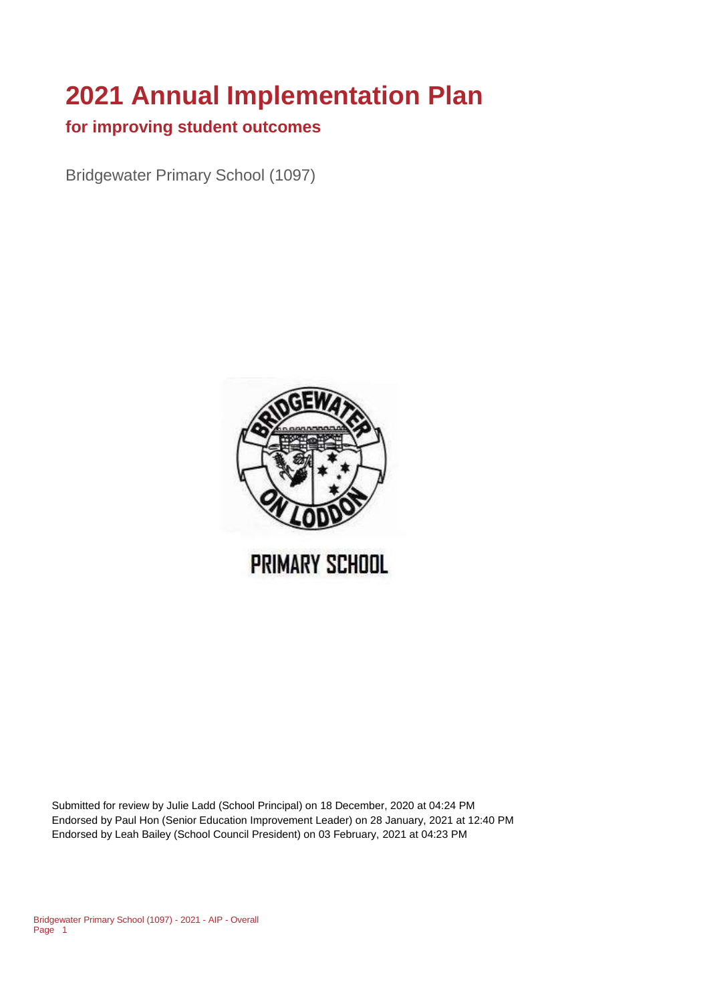# **2021 Annual Implementation Plan**

#### **for improving student outcomes**

Bridgewater Primary School (1097)



Submitted for review by Julie Ladd (School Principal) on 18 December, 2020 at 04:24 PM Endorsed by Paul Hon (Senior Education Improvement Leader) on 28 January, 2021 at 12:40 PM Endorsed by Leah Bailey (School Council President) on 03 February, 2021 at 04:23 PM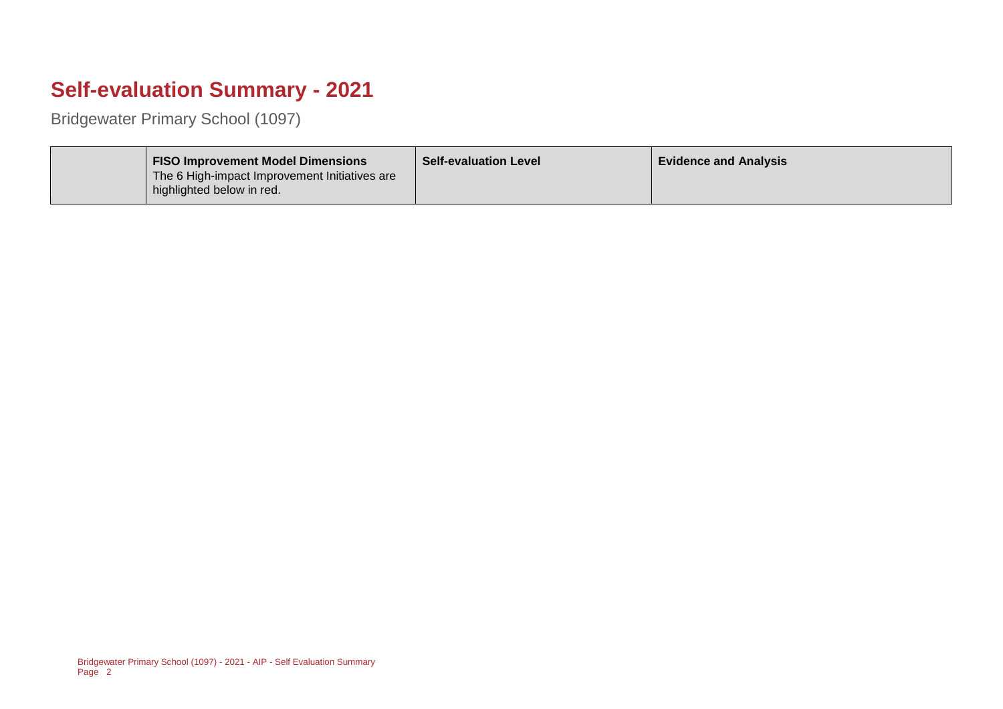## **Self-evaluation Summary - 2021**

Bridgewater Primary School (1097)

| <b>FISO Improvement Model Dimensions</b><br>The 6 High-impact Improvement Initiatives are<br>highlighted below in red. | <b>Self-evaluation Level</b> | <b>Evidence and Analysis</b> |
|------------------------------------------------------------------------------------------------------------------------|------------------------------|------------------------------|
|------------------------------------------------------------------------------------------------------------------------|------------------------------|------------------------------|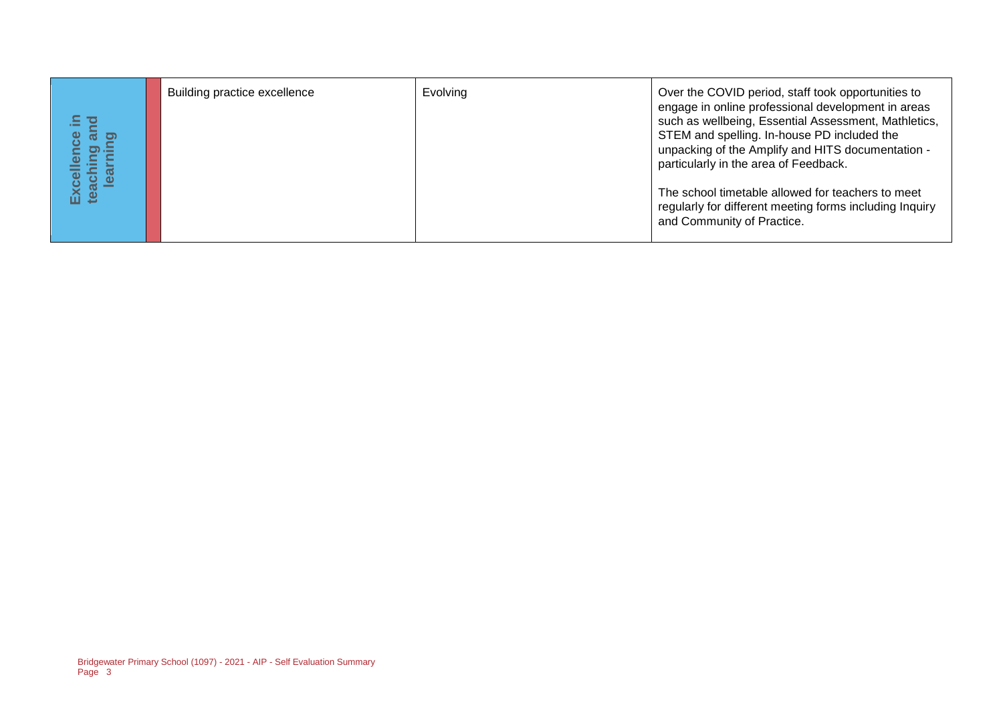| Excellence in<br>teaching and<br>learning | Building practice excellence                                             | Evolving | Over the COVID period, staff took opportunities to<br>engage in online professional development in areas<br>such as wellbeing, Essential Assessment, Mathletics,<br>STEM and spelling. In-house PD included the<br>unpacking of the Amplify and HITS documentation -<br>particularly in the area of Feedback.<br>The school timetable allowed for teachers to meet<br>regularly for different meeting forms including Inquiry<br>and Community of Practice. |
|-------------------------------------------|--------------------------------------------------------------------------|----------|-------------------------------------------------------------------------------------------------------------------------------------------------------------------------------------------------------------------------------------------------------------------------------------------------------------------------------------------------------------------------------------------------------------------------------------------------------------|
|                                           |                                                                          |          |                                                                                                                                                                                                                                                                                                                                                                                                                                                             |
|                                           |                                                                          |          |                                                                                                                                                                                                                                                                                                                                                                                                                                                             |
|                                           |                                                                          |          |                                                                                                                                                                                                                                                                                                                                                                                                                                                             |
| Page 3                                    | Bridgewater Primary School (1097) - 2021 - AIP - Self Evaluation Summary |          |                                                                                                                                                                                                                                                                                                                                                                                                                                                             |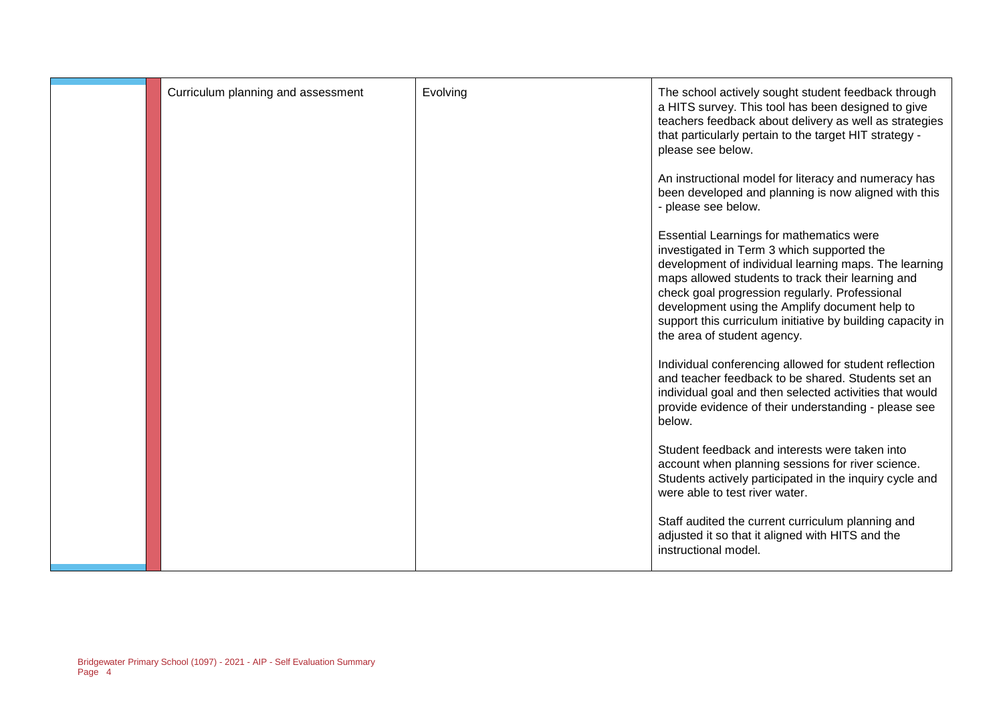| Curriculum planning and assessment | Evolving | The school actively sought student feedback through<br>a HITS survey. This tool has been designed to give<br>teachers feedback about delivery as well as strategies<br>that particularly pertain to the target HIT strategy -<br>please see below.                                                                                                                                                    |
|------------------------------------|----------|-------------------------------------------------------------------------------------------------------------------------------------------------------------------------------------------------------------------------------------------------------------------------------------------------------------------------------------------------------------------------------------------------------|
|                                    |          | An instructional model for literacy and numeracy has<br>been developed and planning is now aligned with this<br>- please see below.                                                                                                                                                                                                                                                                   |
|                                    |          | Essential Learnings for mathematics were<br>investigated in Term 3 which supported the<br>development of individual learning maps. The learning<br>maps allowed students to track their learning and<br>check goal progression regularly. Professional<br>development using the Amplify document help to<br>support this curriculum initiative by building capacity in<br>the area of student agency. |
|                                    |          | Individual conferencing allowed for student reflection<br>and teacher feedback to be shared. Students set an<br>individual goal and then selected activities that would<br>provide evidence of their understanding - please see<br>below.                                                                                                                                                             |
|                                    |          | Student feedback and interests were taken into<br>account when planning sessions for river science.<br>Students actively participated in the inquiry cycle and<br>were able to test river water.                                                                                                                                                                                                      |
|                                    |          | Staff audited the current curriculum planning and<br>adjusted it so that it aligned with HITS and the<br>instructional model.                                                                                                                                                                                                                                                                         |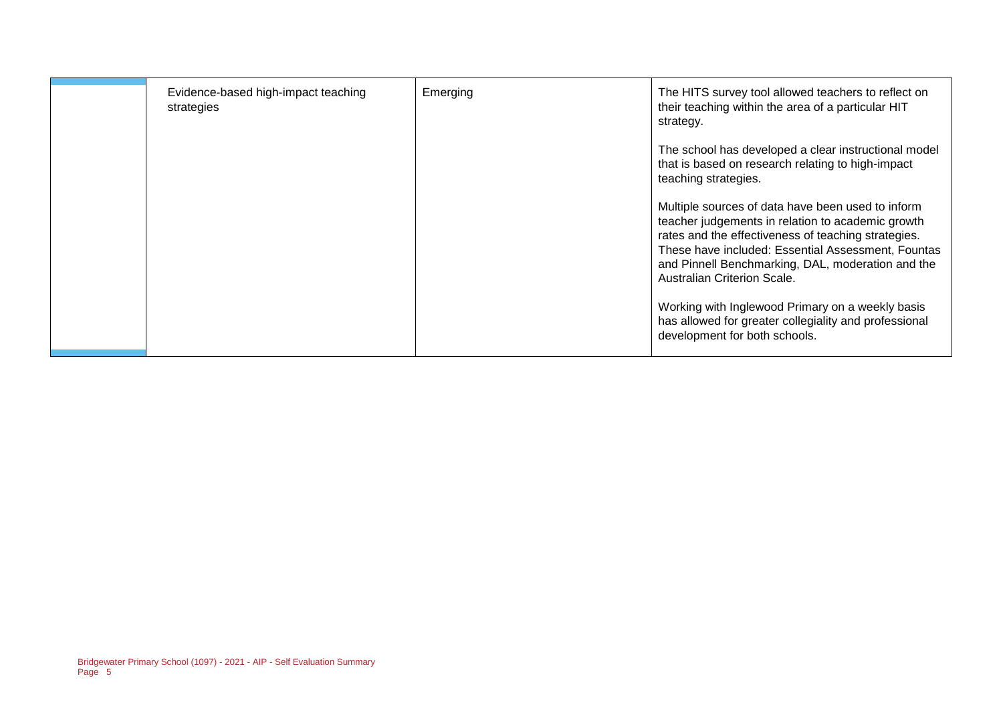| Evidence-based high-impact teaching<br>strategies | Emerging | The HITS survey tool allowed teachers to reflect on<br>their teaching within the area of a particular HIT<br>strategy.                                                                                                                                                                                  |
|---------------------------------------------------|----------|---------------------------------------------------------------------------------------------------------------------------------------------------------------------------------------------------------------------------------------------------------------------------------------------------------|
|                                                   |          | The school has developed a clear instructional model<br>that is based on research relating to high-impact<br>teaching strategies.                                                                                                                                                                       |
|                                                   |          | Multiple sources of data have been used to inform<br>teacher judgements in relation to academic growth<br>rates and the effectiveness of teaching strategies.<br>These have included: Essential Assessment, Fountas<br>and Pinnell Benchmarking, DAL, moderation and the<br>Australian Criterion Scale. |
|                                                   |          | Working with Inglewood Primary on a weekly basis<br>has allowed for greater collegiality and professional<br>development for both schools.                                                                                                                                                              |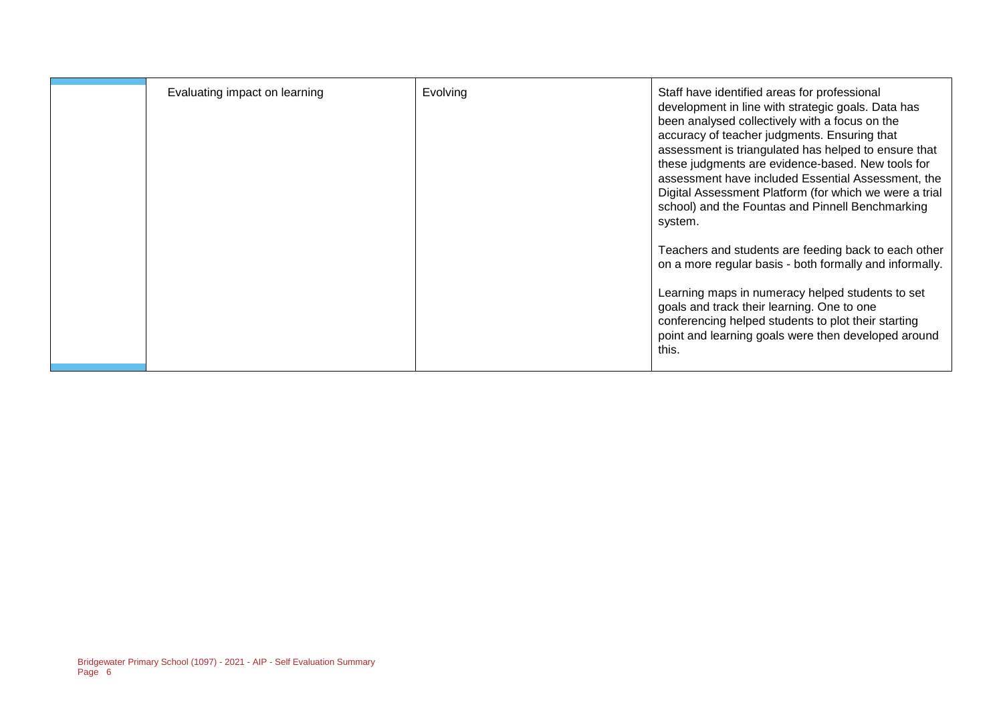| Evaluating impact on learning | Evolving | Staff have identified areas for professional<br>development in line with strategic goals. Data has<br>been analysed collectively with a focus on the<br>accuracy of teacher judgments. Ensuring that<br>assessment is triangulated has helped to ensure that<br>these judgments are evidence-based. New tools for<br>assessment have included Essential Assessment, the<br>Digital Assessment Platform (for which we were a trial<br>school) and the Fountas and Pinnell Benchmarking<br>system.<br>Teachers and students are feeding back to each other<br>on a more regular basis - both formally and informally.<br>Learning maps in numeracy helped students to set<br>goals and track their learning. One to one<br>conferencing helped students to plot their starting<br>point and learning goals were then developed around |
|-------------------------------|----------|-------------------------------------------------------------------------------------------------------------------------------------------------------------------------------------------------------------------------------------------------------------------------------------------------------------------------------------------------------------------------------------------------------------------------------------------------------------------------------------------------------------------------------------------------------------------------------------------------------------------------------------------------------------------------------------------------------------------------------------------------------------------------------------------------------------------------------------|
|                               |          | this.                                                                                                                                                                                                                                                                                                                                                                                                                                                                                                                                                                                                                                                                                                                                                                                                                               |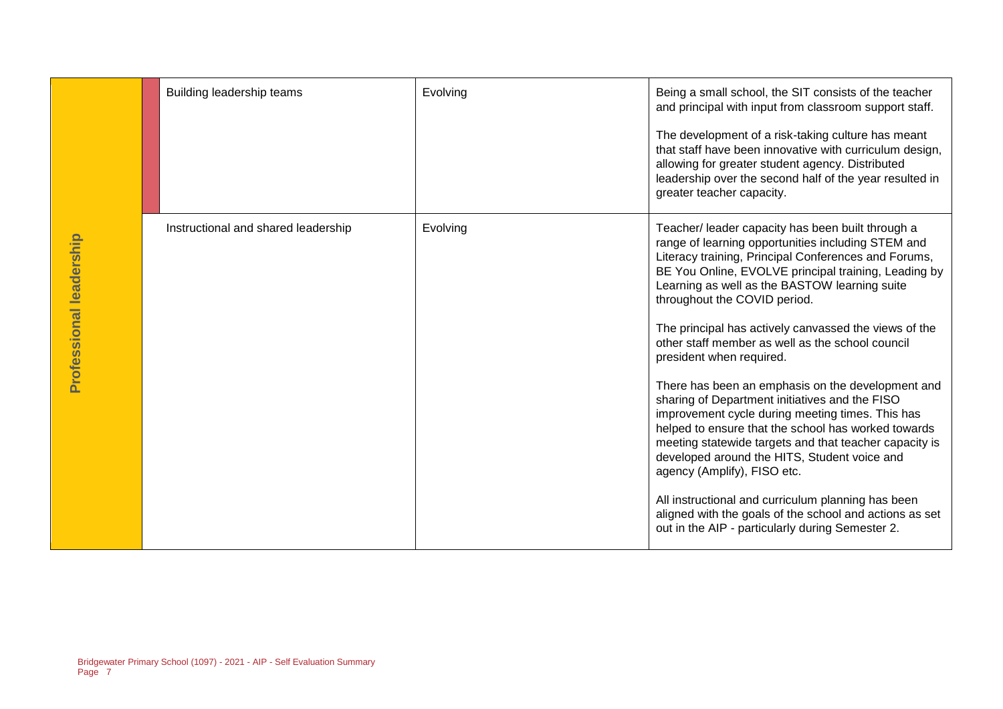|                         | Building leadership teams                                                | Evolving | Being a small school, the SIT consists of the teacher<br>and principal with input from classroom support staff.<br>The development of a risk-taking culture has meant<br>that staff have been innovative with curriculum design,<br>allowing for greater student agency. Distributed<br>leadership over the second half of the year resulted in<br>greater teacher capacity.                                                                                             |
|-------------------------|--------------------------------------------------------------------------|----------|--------------------------------------------------------------------------------------------------------------------------------------------------------------------------------------------------------------------------------------------------------------------------------------------------------------------------------------------------------------------------------------------------------------------------------------------------------------------------|
| Professional leadership | Instructional and shared leadership                                      | Evolving | Teacher/ leader capacity has been built through a<br>range of learning opportunities including STEM and<br>Literacy training, Principal Conferences and Forums,<br>BE You Online, EVOLVE principal training, Leading by<br>Learning as well as the BASTOW learning suite<br>throughout the COVID period.<br>The principal has actively canvassed the views of the<br>other staff member as well as the school council<br>president when required.                        |
|                         |                                                                          |          | There has been an emphasis on the development and<br>sharing of Department initiatives and the FISO<br>improvement cycle during meeting times. This has<br>helped to ensure that the school has worked towards<br>meeting statewide targets and that teacher capacity is<br>developed around the HITS, Student voice and<br>agency (Amplify), FISO etc.<br>All instructional and curriculum planning has been<br>aligned with the goals of the school and actions as set |
| Page 7                  | Bridgewater Primary School (1097) - 2021 - AIP - Self Evaluation Summary |          | out in the AIP - particularly during Semester 2.                                                                                                                                                                                                                                                                                                                                                                                                                         |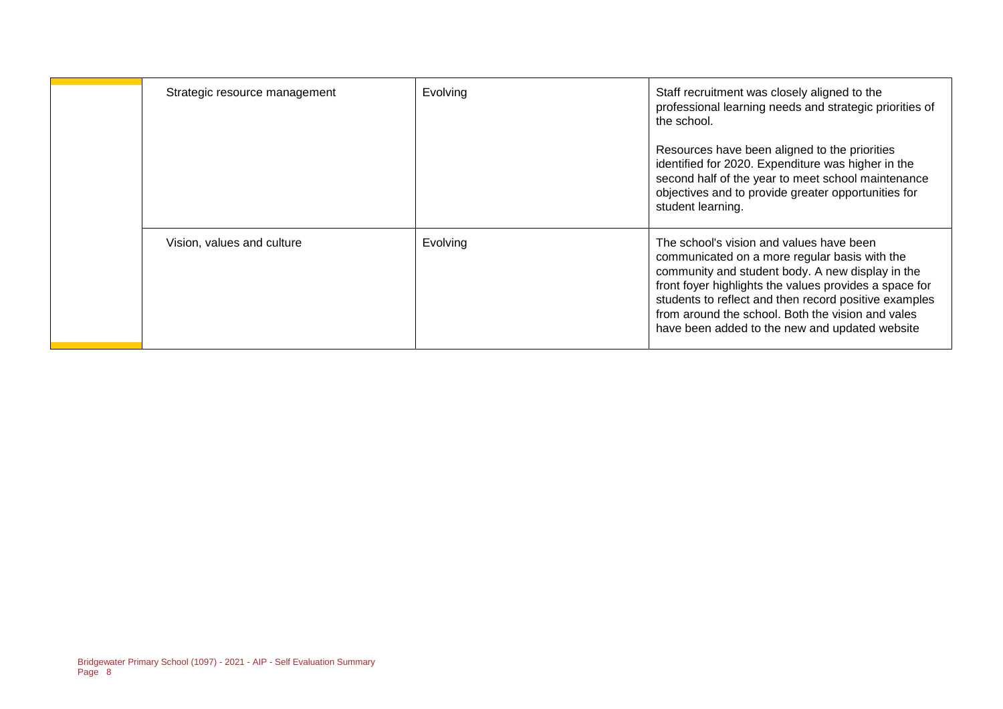| Strategic resource management | Evolving | Staff recruitment was closely aligned to the<br>professional learning needs and strategic priorities of<br>the school.<br>Resources have been aligned to the priorities<br>identified for 2020. Expenditure was higher in the<br>second half of the year to meet school maintenance<br>objectives and to provide greater opportunities for<br>student learning.         |
|-------------------------------|----------|-------------------------------------------------------------------------------------------------------------------------------------------------------------------------------------------------------------------------------------------------------------------------------------------------------------------------------------------------------------------------|
| Vision, values and culture    | Evolving | The school's vision and values have been<br>communicated on a more regular basis with the<br>community and student body. A new display in the<br>front foyer highlights the values provides a space for<br>students to reflect and then record positive examples<br>from around the school. Both the vision and vales<br>have been added to the new and updated website |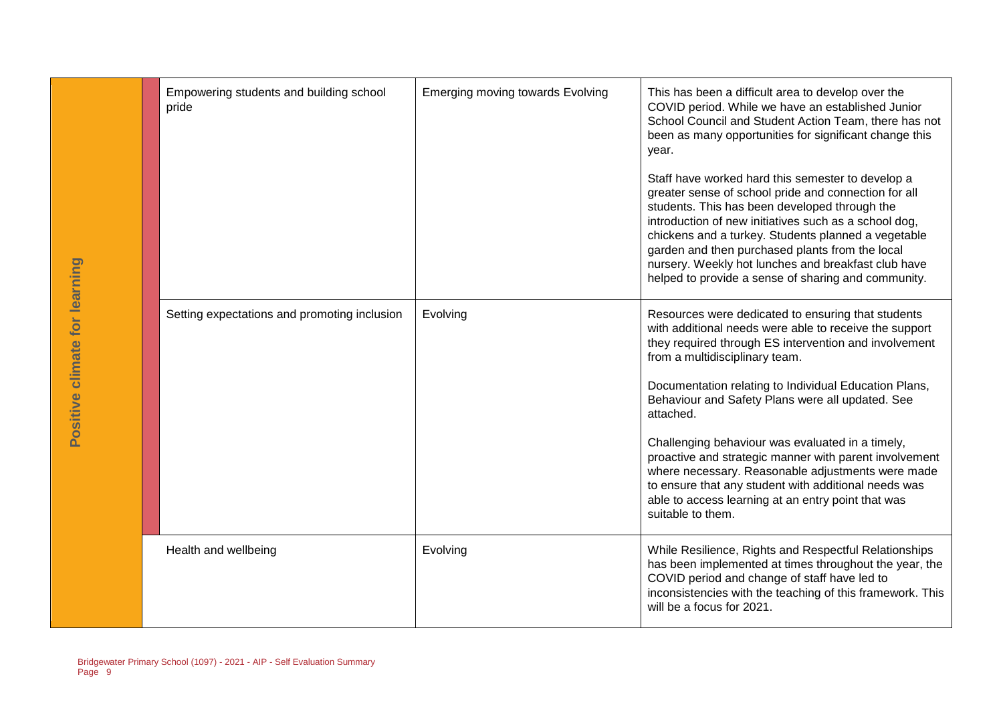| Positive climate for learning | Empowering students and building school<br>pride                         | <b>Emerging moving towards Evolving</b> | This has been a difficult area to develop over the<br>COVID period. While we have an established Junior<br>School Council and Student Action Team, there has not<br>been as many opportunities for significant change this<br>year.<br>Staff have worked hard this semester to develop a<br>greater sense of school pride and connection for all<br>students. This has been developed through the<br>introduction of new initiatives such as a school dog,<br>chickens and a turkey. Students planned a vegetable<br>garden and then purchased plants from the local<br>nursery. Weekly hot lunches and breakfast club have<br>helped to provide a sense of sharing and community. |
|-------------------------------|--------------------------------------------------------------------------|-----------------------------------------|------------------------------------------------------------------------------------------------------------------------------------------------------------------------------------------------------------------------------------------------------------------------------------------------------------------------------------------------------------------------------------------------------------------------------------------------------------------------------------------------------------------------------------------------------------------------------------------------------------------------------------------------------------------------------------|
|                               | Setting expectations and promoting inclusion                             | Evolving                                | Resources were dedicated to ensuring that students<br>with additional needs were able to receive the support<br>they required through ES intervention and involvement<br>from a multidisciplinary team.<br>Documentation relating to Individual Education Plans,<br>Behaviour and Safety Plans were all updated. See<br>attached.<br>Challenging behaviour was evaluated in a timely,<br>proactive and strategic manner with parent involvement<br>where necessary. Reasonable adjustments were made<br>to ensure that any student with additional needs was<br>able to access learning at an entry point that was<br>suitable to them.                                            |
|                               | Health and wellbeing                                                     | Evolving                                | While Resilience, Rights and Respectful Relationships<br>has been implemented at times throughout the year, the<br>COVID period and change of staff have led to<br>inconsistencies with the teaching of this framework. This<br>will be a focus for 2021.                                                                                                                                                                                                                                                                                                                                                                                                                          |
| Page 9                        | Bridgewater Primary School (1097) - 2021 - AIP - Self Evaluation Summary |                                         |                                                                                                                                                                                                                                                                                                                                                                                                                                                                                                                                                                                                                                                                                    |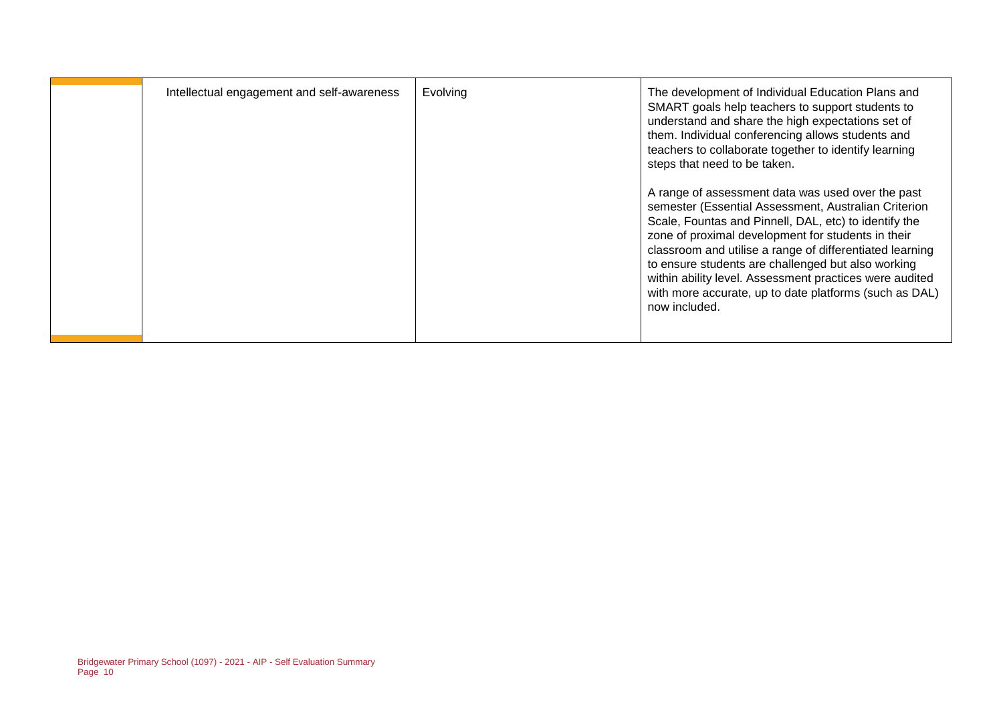| Intellectual engagement and self-awareness | Evolving | The development of Individual Education Plans and<br>SMART goals help teachers to support students to<br>understand and share the high expectations set of<br>them. Individual conferencing allows students and<br>teachers to collaborate together to identify learning<br>steps that need to be taken.<br>A range of assessment data was used over the past<br>semester (Essential Assessment, Australian Criterion<br>Scale, Fountas and Pinnell, DAL, etc) to identify the<br>zone of proximal development for students in their<br>classroom and utilise a range of differentiated learning<br>to ensure students are challenged but also working<br>within ability level. Assessment practices were audited<br>with more accurate, up to date platforms (such as DAL)<br>now included. |
|--------------------------------------------|----------|----------------------------------------------------------------------------------------------------------------------------------------------------------------------------------------------------------------------------------------------------------------------------------------------------------------------------------------------------------------------------------------------------------------------------------------------------------------------------------------------------------------------------------------------------------------------------------------------------------------------------------------------------------------------------------------------------------------------------------------------------------------------------------------------|
|                                            |          |                                                                                                                                                                                                                                                                                                                                                                                                                                                                                                                                                                                                                                                                                                                                                                                              |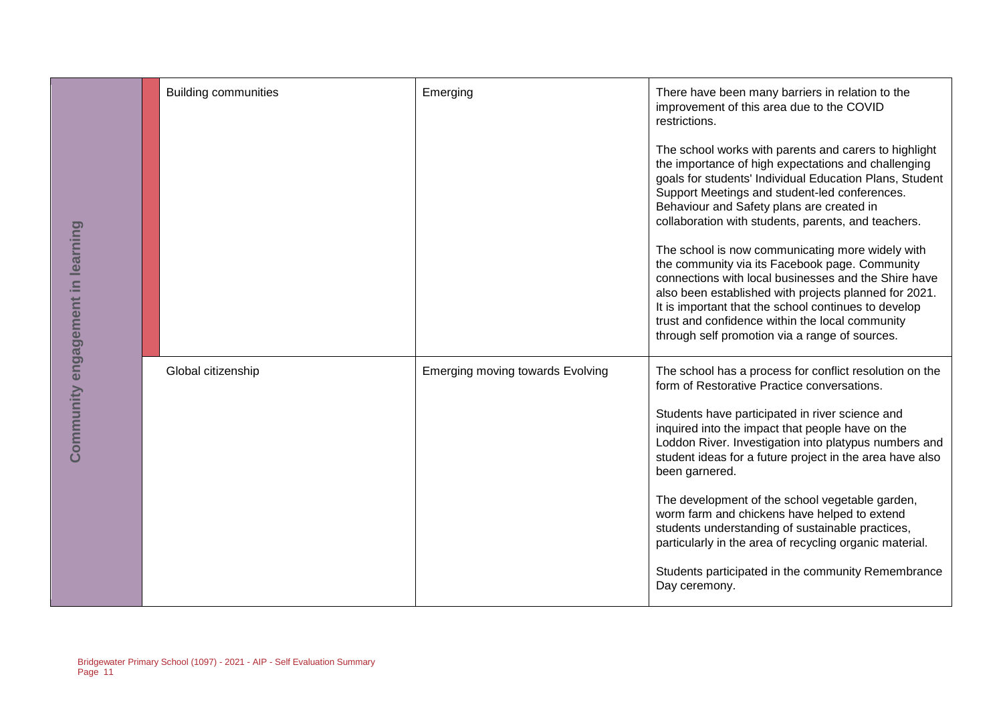|                                  | <b>Building communities</b>                                              | Emerging                                | There have been many barriers in relation to the<br>improvement of this area due to the COVID<br>restrictions.                                                                                                                                                                                                                                                                   |
|----------------------------------|--------------------------------------------------------------------------|-----------------------------------------|----------------------------------------------------------------------------------------------------------------------------------------------------------------------------------------------------------------------------------------------------------------------------------------------------------------------------------------------------------------------------------|
| Community engagement in learning |                                                                          |                                         | The school works with parents and carers to highlight<br>the importance of high expectations and challenging<br>goals for students' Individual Education Plans, Student<br>Support Meetings and student-led conferences.<br>Behaviour and Safety plans are created in<br>collaboration with students, parents, and teachers.                                                     |
|                                  |                                                                          |                                         | The school is now communicating more widely with<br>the community via its Facebook page. Community<br>connections with local businesses and the Shire have<br>also been established with projects planned for 2021.<br>It is important that the school continues to develop<br>trust and confidence within the local community<br>through self promotion via a range of sources. |
|                                  | Global citizenship                                                       | <b>Emerging moving towards Evolving</b> | The school has a process for conflict resolution on the<br>form of Restorative Practice conversations.                                                                                                                                                                                                                                                                           |
|                                  |                                                                          |                                         | Students have participated in river science and<br>inquired into the impact that people have on the<br>Loddon River. Investigation into platypus numbers and<br>student ideas for a future project in the area have also<br>been garnered.                                                                                                                                       |
|                                  |                                                                          |                                         | The development of the school vegetable garden,<br>worm farm and chickens have helped to extend<br>students understanding of sustainable practices,<br>particularly in the area of recycling organic material.                                                                                                                                                                   |
|                                  |                                                                          |                                         | Students participated in the community Remembrance<br>Day ceremony.                                                                                                                                                                                                                                                                                                              |
|                                  |                                                                          |                                         |                                                                                                                                                                                                                                                                                                                                                                                  |
| Page 11                          | Bridgewater Primary School (1097) - 2021 - AIP - Self Evaluation Summary |                                         |                                                                                                                                                                                                                                                                                                                                                                                  |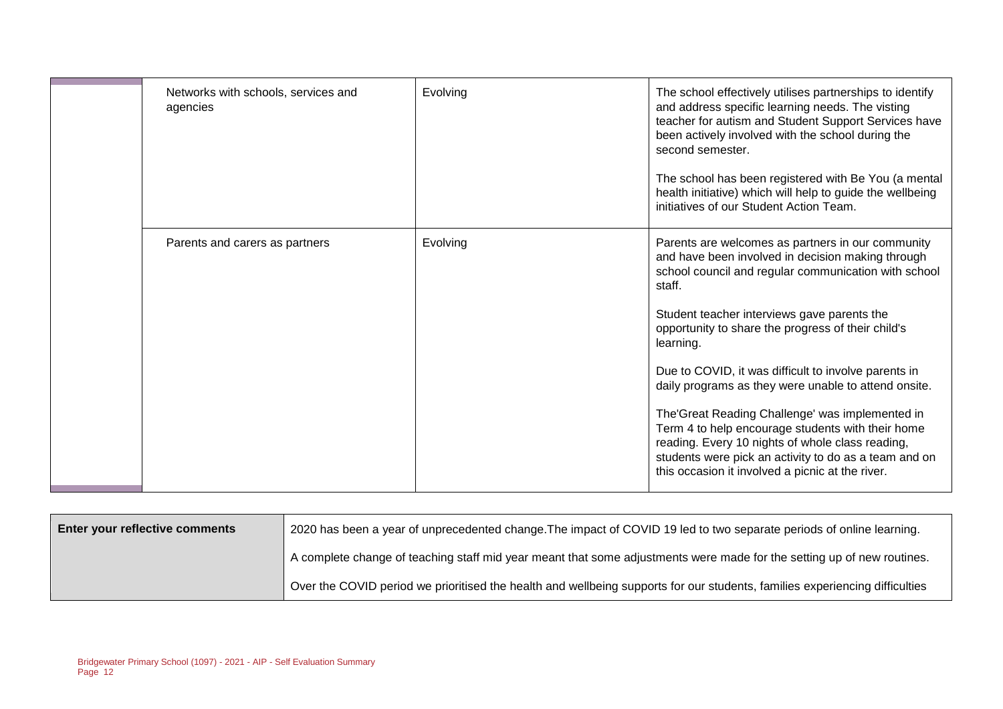| Networks with schools, services and<br>agencies | Evolving | The school effectively utilises partnerships to identify<br>and address specific learning needs. The visting<br>teacher for autism and Student Support Services have<br>been actively involved with the school during the<br>second semester.<br>The school has been registered with Be You (a mental<br>health initiative) which will help to guide the wellbeing<br>initiatives of our Student Action Team.                                                                                                                                                                                                                                                                       |
|-------------------------------------------------|----------|-------------------------------------------------------------------------------------------------------------------------------------------------------------------------------------------------------------------------------------------------------------------------------------------------------------------------------------------------------------------------------------------------------------------------------------------------------------------------------------------------------------------------------------------------------------------------------------------------------------------------------------------------------------------------------------|
| Parents and carers as partners                  | Evolving | Parents are welcomes as partners in our community<br>and have been involved in decision making through<br>school council and regular communication with school<br>staff.<br>Student teacher interviews gave parents the<br>opportunity to share the progress of their child's<br>learning.<br>Due to COVID, it was difficult to involve parents in<br>daily programs as they were unable to attend onsite.<br>The'Great Reading Challenge' was implemented in<br>Term 4 to help encourage students with their home<br>reading. Every 10 nights of whole class reading,<br>students were pick an activity to do as a team and on<br>this occasion it involved a picnic at the river. |

| <b>Enter your reflective comments</b> | 2020 has been a year of unprecedented change. The impact of COVID 19 led to two separate periods of online learning.        |
|---------------------------------------|-----------------------------------------------------------------------------------------------------------------------------|
|                                       | A complete change of teaching staff mid year meant that some adjustments were made for the setting up of new routines.      |
|                                       | Over the COVID period we prioritised the health and wellbeing supports for our students, families experiencing difficulties |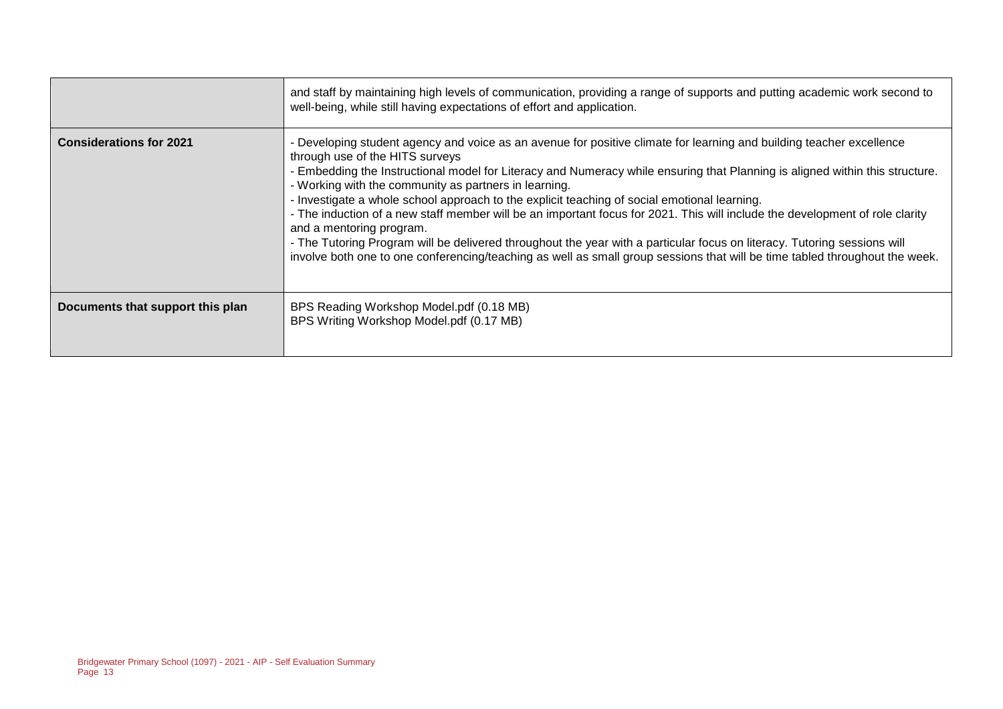|                                  | and staff by maintaining high levels of communication, providing a range of supports and putting academic work second to<br>well-being, while still having expectations of effort and application.                                                                                                                                                                                                                                                                                                                                                                                                                                                                                                                                                                                                                                                                      |
|----------------------------------|-------------------------------------------------------------------------------------------------------------------------------------------------------------------------------------------------------------------------------------------------------------------------------------------------------------------------------------------------------------------------------------------------------------------------------------------------------------------------------------------------------------------------------------------------------------------------------------------------------------------------------------------------------------------------------------------------------------------------------------------------------------------------------------------------------------------------------------------------------------------------|
| <b>Considerations for 2021</b>   | - Developing student agency and voice as an avenue for positive climate for learning and building teacher excellence<br>through use of the HITS surveys<br>- Embedding the Instructional model for Literacy and Numeracy while ensuring that Planning is aligned within this structure.<br>- Working with the community as partners in learning.<br>- Investigate a whole school approach to the explicit teaching of social emotional learning.<br>- The induction of a new staff member will be an important focus for 2021. This will include the development of role clarity<br>and a mentoring program.<br>- The Tutoring Program will be delivered throughout the year with a particular focus on literacy. Tutoring sessions will<br>involve both one to one conferencing/teaching as well as small group sessions that will be time tabled throughout the week. |
| Documents that support this plan | BPS Reading Workshop Model.pdf (0.18 MB)<br>BPS Writing Workshop Model.pdf (0.17 MB)                                                                                                                                                                                                                                                                                                                                                                                                                                                                                                                                                                                                                                                                                                                                                                                    |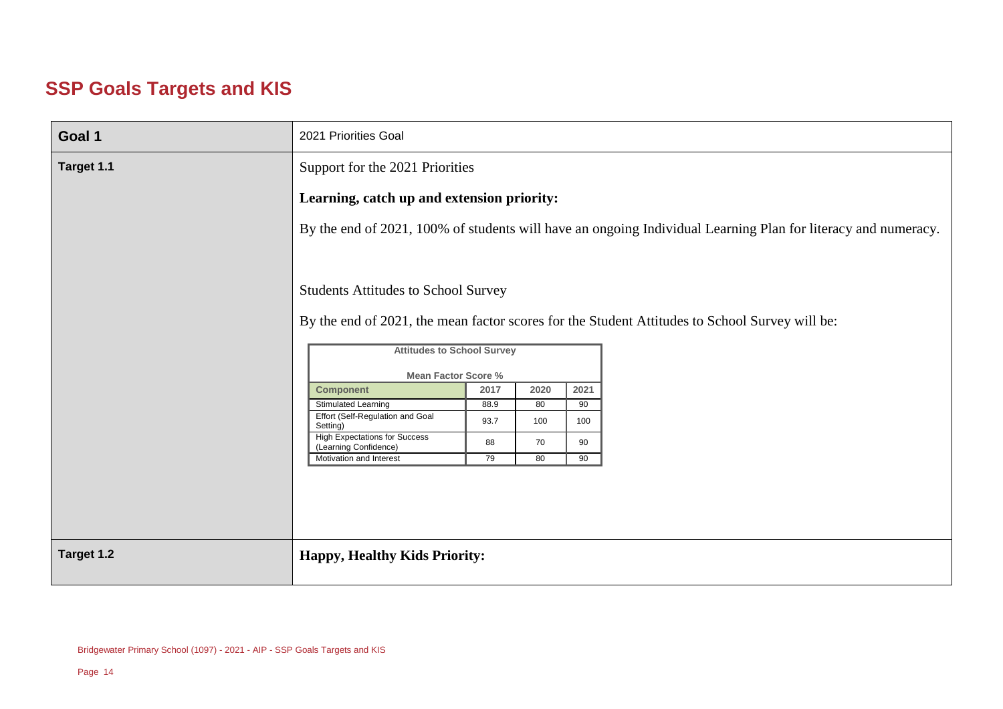#### **SSP Goals Targets and KIS**

| Goal 1     | 2021 Priorities Goal                                                                 |                                                                                                                                                                                                                                                             |     |     |  |  |  |  |  |  |
|------------|--------------------------------------------------------------------------------------|-------------------------------------------------------------------------------------------------------------------------------------------------------------------------------------------------------------------------------------------------------------|-----|-----|--|--|--|--|--|--|
| Target 1.1 |                                                                                      | Support for the 2021 Priorities                                                                                                                                                                                                                             |     |     |  |  |  |  |  |  |
|            |                                                                                      | Learning, catch up and extension priority:                                                                                                                                                                                                                  |     |     |  |  |  |  |  |  |
|            |                                                                                      | By the end of 2021, 100% of students will have an ongoing Individual Learning Plan for literacy and numeracy.                                                                                                                                               |     |     |  |  |  |  |  |  |
|            | <b>Component</b><br><b>Stimulated Learning</b>                                       | <b>Students Attitudes to School Survey</b><br>By the end of 2021, the mean factor scores for the Student Attitudes to School Survey will be:<br><b>Attitudes to School Survey</b><br><b>Mean Factor Score %</b><br>2017<br>2020<br>2021<br>88.9<br>80<br>90 |     |     |  |  |  |  |  |  |
|            | Effort (Self-Regulation and Goal<br>Setting)<br><b>High Expectations for Success</b> | 93.7                                                                                                                                                                                                                                                        | 100 | 100 |  |  |  |  |  |  |
|            | (Learning Confidence)                                                                | 88                                                                                                                                                                                                                                                          | 70  | 90  |  |  |  |  |  |  |
|            | Motivation and Interest                                                              | 79                                                                                                                                                                                                                                                          | 80  | 90  |  |  |  |  |  |  |
|            |                                                                                      |                                                                                                                                                                                                                                                             |     |     |  |  |  |  |  |  |
|            |                                                                                      |                                                                                                                                                                                                                                                             |     |     |  |  |  |  |  |  |
| Target 1.2 | <b>Happy, Healthy Kids Priority:</b>                                                 |                                                                                                                                                                                                                                                             |     |     |  |  |  |  |  |  |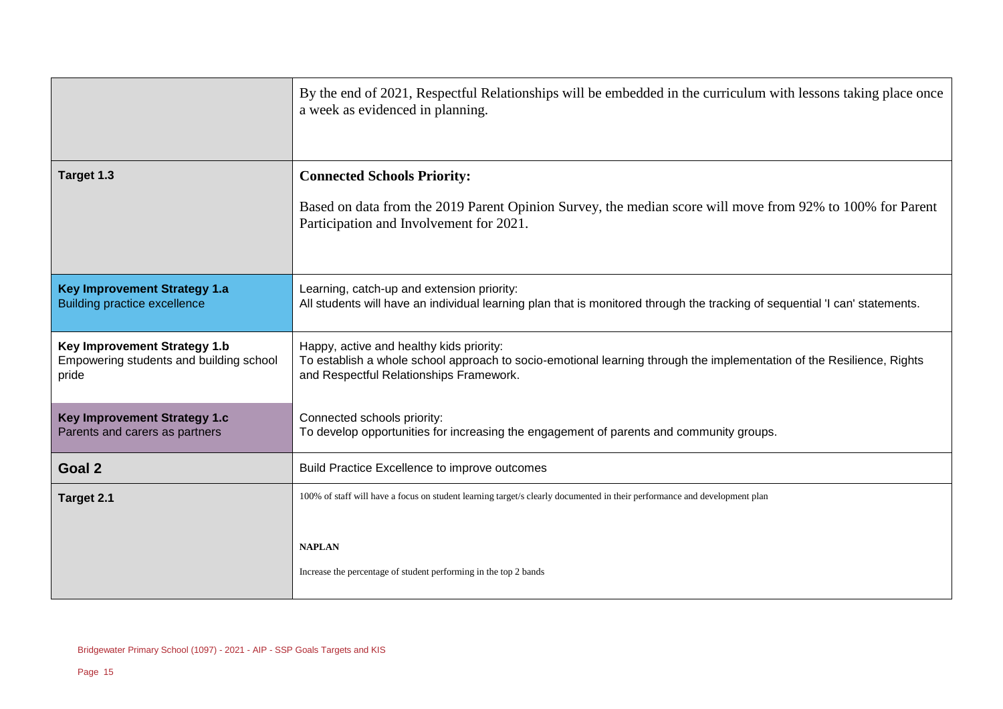|                                                                                  | By the end of 2021, Respectful Relationships will be embedded in the curriculum with lessons taking place once<br>a week as evidenced in planning.                                                           |
|----------------------------------------------------------------------------------|--------------------------------------------------------------------------------------------------------------------------------------------------------------------------------------------------------------|
| Target 1.3                                                                       | <b>Connected Schools Priority:</b>                                                                                                                                                                           |
|                                                                                  | Based on data from the 2019 Parent Opinion Survey, the median score will move from 92% to 100% for Parent<br>Participation and Involvement for 2021.                                                         |
| <b>Key Improvement Strategy 1.a</b><br><b>Building practice excellence</b>       | Learning, catch-up and extension priority:<br>All students will have an individual learning plan that is monitored through the tracking of sequential 'I can' statements.                                    |
| Key Improvement Strategy 1.b<br>Empowering students and building school<br>pride | Happy, active and healthy kids priority:<br>To establish a whole school approach to socio-emotional learning through the implementation of the Resilience, Rights<br>and Respectful Relationships Framework. |
| Key Improvement Strategy 1.c<br>Parents and carers as partners                   | Connected schools priority:<br>To develop opportunities for increasing the engagement of parents and community groups.                                                                                       |
| Goal 2                                                                           | Build Practice Excellence to improve outcomes                                                                                                                                                                |
| Target 2.1                                                                       | 100% of staff will have a focus on student learning target/s clearly documented in their performance and development plan                                                                                    |
|                                                                                  | <b>NAPLAN</b>                                                                                                                                                                                                |
|                                                                                  | Increase the percentage of student performing in the top 2 bands                                                                                                                                             |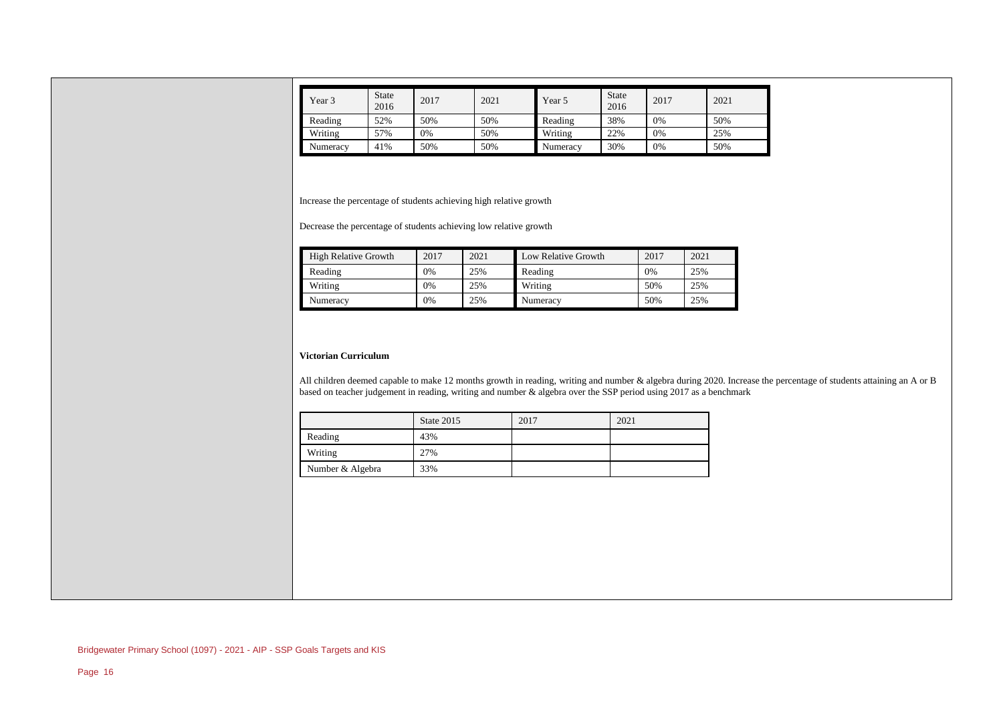| Year 3   | <b>State</b><br>2016 | 2017 | 2021 | Year 5   | <b>State</b><br>2016 | 2017 | 2021 |
|----------|----------------------|------|------|----------|----------------------|------|------|
| Reading  | 52%                  | 50%  | 50%  | Reading  | 38%                  | 0%   | 50%  |
| Writing  | 57%                  | 0%   | 50%  | Writing  | 22%                  | 0%   | 25%  |
| Numeracy | 41%                  | 50%  | 50%  | Numeracy | 30%                  | 0%   | 50%  |

Increase the percentage of students achieving high relative growth

Decrease the percentage of students achieving low relative growth

| <b>High Relative Growth</b> | 2017 | 2021 | Low Relative Growth | 2017 | 2021 |
|-----------------------------|------|------|---------------------|------|------|
| Reading                     | 0%   | 25%  | Reading             | 0%   | 25%  |
| Writing                     | 0%   | 25%  | Writing             | 50%  | 25%  |
| Numeracy                    | 0%   | 25%  | Numeracy            | 50%  | 25%  |

#### **Victorian Curriculum**

All children deemed capable to make 12 months growth in reading, writing and number & algebra during 2020. Increase the percentage of students attaining an A or B based on teacher judgement in reading, writing and number & algebra over the SSP period using 2017 as a benchmark

|                  | State 2015 | 2017 | 2021 |
|------------------|------------|------|------|
| Reading          | 43%        |      |      |
| Writing          | 27%        |      |      |
| Number & Algebra | 33%        |      |      |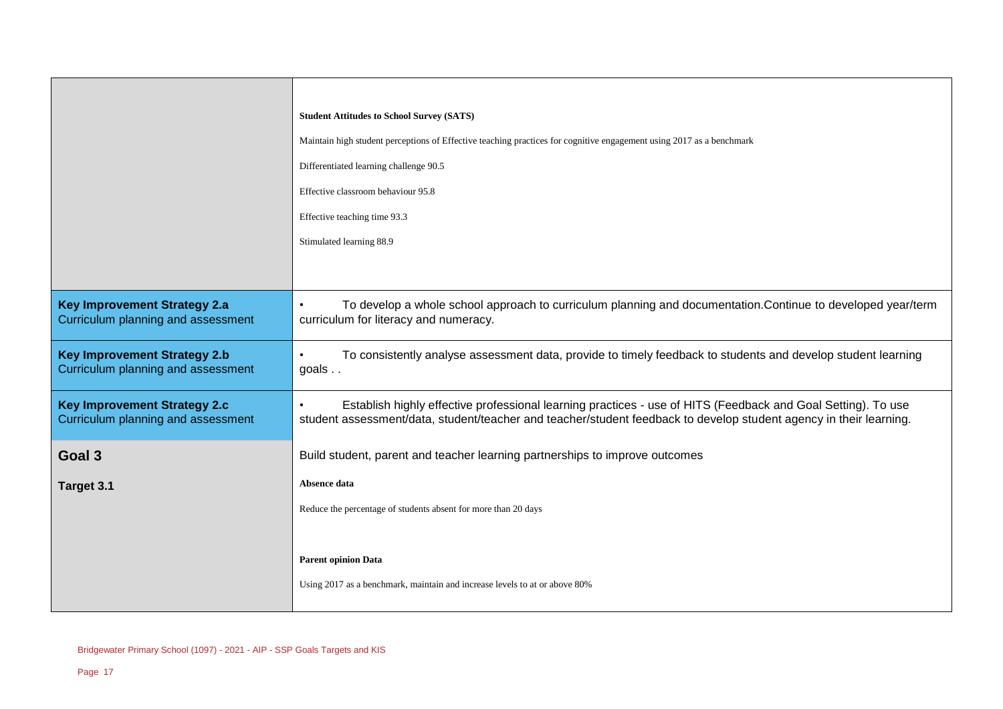|                                                                                  | <b>Student Attitudes to School Survey (SATS)</b>                                                                                                                                                                                   |
|----------------------------------------------------------------------------------|------------------------------------------------------------------------------------------------------------------------------------------------------------------------------------------------------------------------------------|
|                                                                                  | Maintain high student perceptions of Effective teaching practices for cognitive engagement using 2017 as a benchmark                                                                                                               |
|                                                                                  | Differentiated learning challenge 90.5                                                                                                                                                                                             |
|                                                                                  | Effective classroom behaviour 95.8                                                                                                                                                                                                 |
|                                                                                  | Effective teaching time 93.3                                                                                                                                                                                                       |
|                                                                                  | Stimulated learning 88.9                                                                                                                                                                                                           |
|                                                                                  |                                                                                                                                                                                                                                    |
| <b>Key Improvement Strategy 2.a</b><br>Curriculum planning and assessment        | To develop a whole school approach to curriculum planning and documentation. Continue to developed year/term<br>curriculum for literacy and numeracy.                                                                              |
| <b>Key Improvement Strategy 2.b</b><br><b>Curriculum planning and assessment</b> | To consistently analyse assessment data, provide to timely feedback to students and develop student learning<br>goals                                                                                                              |
| <b>Key Improvement Strategy 2.c</b><br>Curriculum planning and assessment        | Establish highly effective professional learning practices - use of HITS (Feedback and Goal Setting). To use<br>student assessment/data, student/teacher and teacher/student feedback to develop student agency in their learning. |
| Goal 3                                                                           | Build student, parent and teacher learning partnerships to improve outcomes                                                                                                                                                        |
| Target 3.1                                                                       | Absence data                                                                                                                                                                                                                       |
|                                                                                  | Reduce the percentage of students absent for more than 20 days                                                                                                                                                                     |
|                                                                                  |                                                                                                                                                                                                                                    |
|                                                                                  | <b>Parent opinion Data</b>                                                                                                                                                                                                         |
|                                                                                  | Using 2017 as a benchmark, maintain and increase levels to at or above 80%                                                                                                                                                         |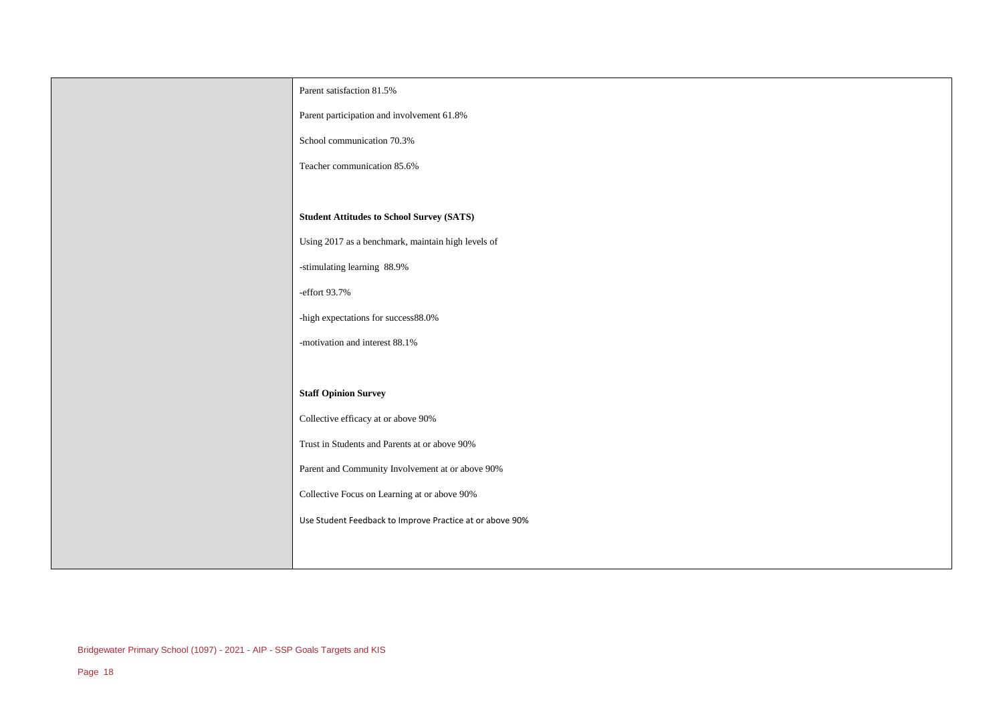| Parent satisfaction 81.5%                                |
|----------------------------------------------------------|
| Parent participation and involvement 61.8%               |
| School communication 70.3%                               |
| Teacher communication 85.6%                              |
|                                                          |
| <b>Student Attitudes to School Survey (SATS)</b>         |
| Using 2017 as a benchmark, maintain high levels of       |
| -stimulating learning 88.9%                              |
| -effort 93.7%                                            |
| -high expectations for success88.0%                      |
| -motivation and interest 88.1%                           |
|                                                          |
| <b>Staff Opinion Survey</b>                              |
| Collective efficacy at or above 90%                      |
| Trust in Students and Parents at or above 90%            |
| Parent and Community Involvement at or above 90%         |
| Collective Focus on Learning at or above 90%             |
| Use Student Feedback to Improve Practice at or above 90% |
|                                                          |
|                                                          |

 $\overline{\phantom{a}}$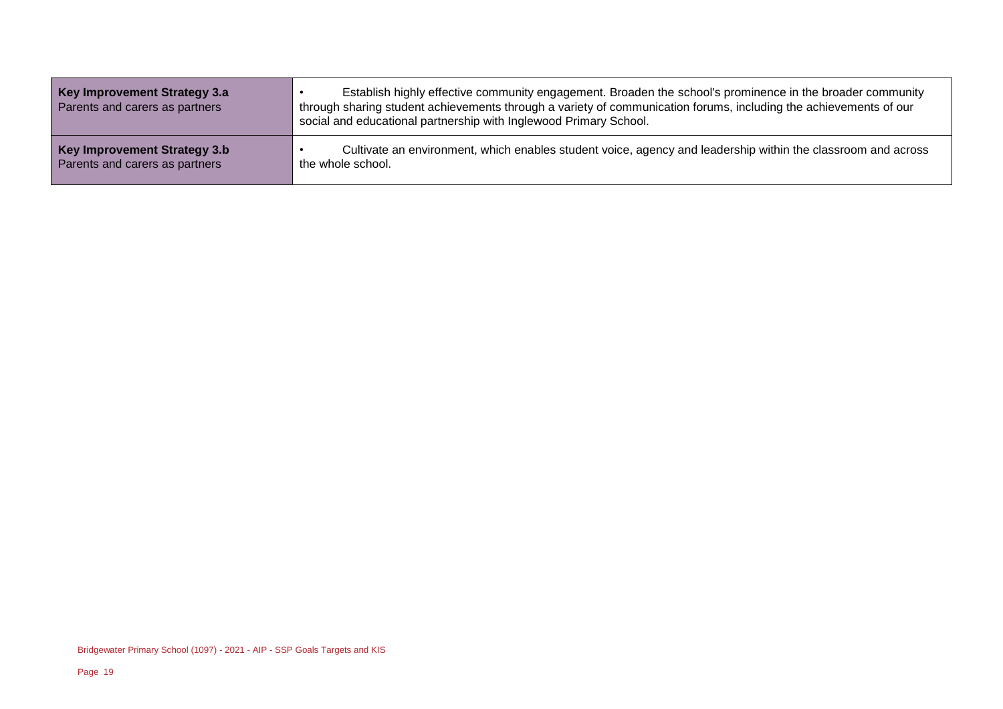| Key Improvement Strategy 3.a<br>Parents and carers as partners | Establish highly effective community engagement. Broaden the school's prominence in the broader community<br>through sharing student achievements through a variety of communication forums, including the achievements of our<br>social and educational partnership with Inglewood Primary School. |
|----------------------------------------------------------------|-----------------------------------------------------------------------------------------------------------------------------------------------------------------------------------------------------------------------------------------------------------------------------------------------------|
| Key Improvement Strategy 3.b                                   | Cultivate an environment, which enables student voice, agency and leadership within the classroom and across                                                                                                                                                                                        |
| Parents and carers as partners                                 | the whole school.                                                                                                                                                                                                                                                                                   |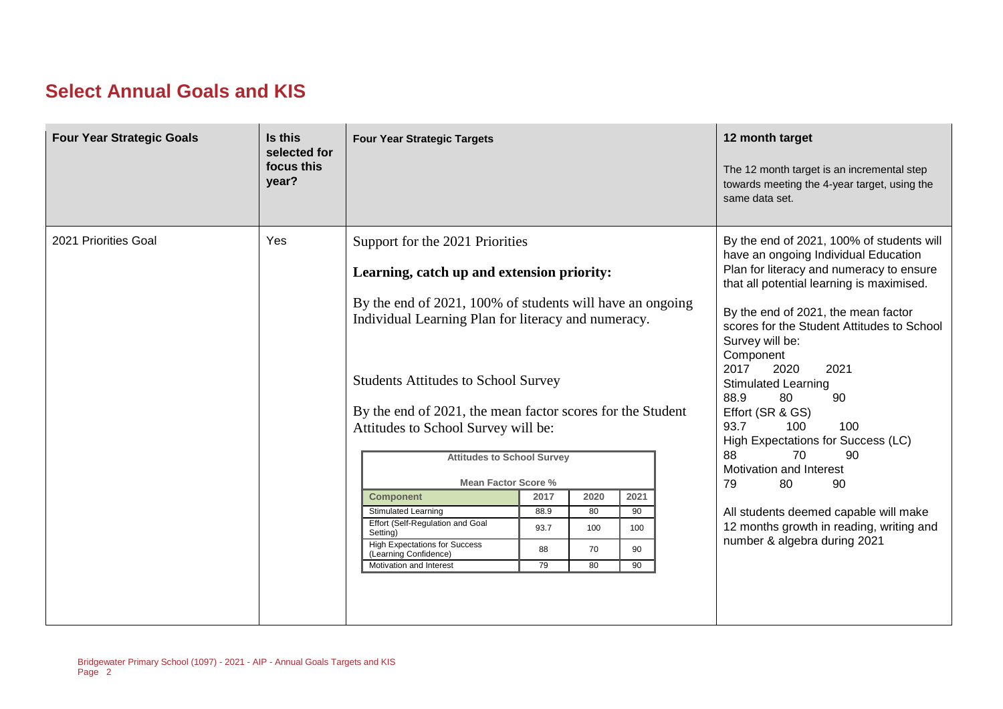#### **Select Annual Goals and KIS**

| <b>Four Year Strategic Goals</b> | Is this<br>selected for<br>focus this<br>year? | <b>Four Year Strategic Targets</b>                                                                                                                                                                                                                                                                                                                                                                                                                                                                                                                                                                                    |                                  |                               |                               |  | 12 month target<br>The 12 month target is an incremental step<br>towards meeting the 4-year target, using the<br>same data set.                                                                                                                                                                                                                                                                                                                                                                                                                                                                                                               |
|----------------------------------|------------------------------------------------|-----------------------------------------------------------------------------------------------------------------------------------------------------------------------------------------------------------------------------------------------------------------------------------------------------------------------------------------------------------------------------------------------------------------------------------------------------------------------------------------------------------------------------------------------------------------------------------------------------------------------|----------------------------------|-------------------------------|-------------------------------|--|-----------------------------------------------------------------------------------------------------------------------------------------------------------------------------------------------------------------------------------------------------------------------------------------------------------------------------------------------------------------------------------------------------------------------------------------------------------------------------------------------------------------------------------------------------------------------------------------------------------------------------------------------|
| 2021 Priorities Goal             | Yes                                            | Support for the 2021 Priorities<br>Learning, catch up and extension priority:<br>By the end of 2021, 100% of students will have an ongoing<br>Individual Learning Plan for literacy and numeracy.<br><b>Students Attitudes to School Survey</b><br>By the end of 2021, the mean factor scores for the Student<br>Attitudes to School Survey will be:<br><b>Attitudes to School Survey</b><br><b>Mean Factor Score %</b><br><b>Component</b><br><b>Stimulated Learning</b><br>Effort (Self-Regulation and Goal<br>Setting)<br><b>High Expectations for Success</b><br>(Learning Confidence)<br>Motivation and Interest | 2017<br>88.9<br>93.7<br>88<br>79 | 2020<br>80<br>100<br>70<br>80 | 2021<br>90<br>100<br>90<br>90 |  | By the end of 2021, 100% of students will<br>have an ongoing Individual Education<br>Plan for literacy and numeracy to ensure<br>that all potential learning is maximised.<br>By the end of 2021, the mean factor<br>scores for the Student Attitudes to School<br>Survey will be:<br>Component<br>2017<br>2020<br>2021<br><b>Stimulated Learning</b><br>88.9<br>80<br>90<br>Effort (SR & GS)<br>93.7<br>100<br>100<br>High Expectations for Success (LC)<br>88<br>70<br>90<br>Motivation and Interest<br>80<br>90<br>79<br>All students deemed capable will make<br>12 months growth in reading, writing and<br>number & algebra during 2021 |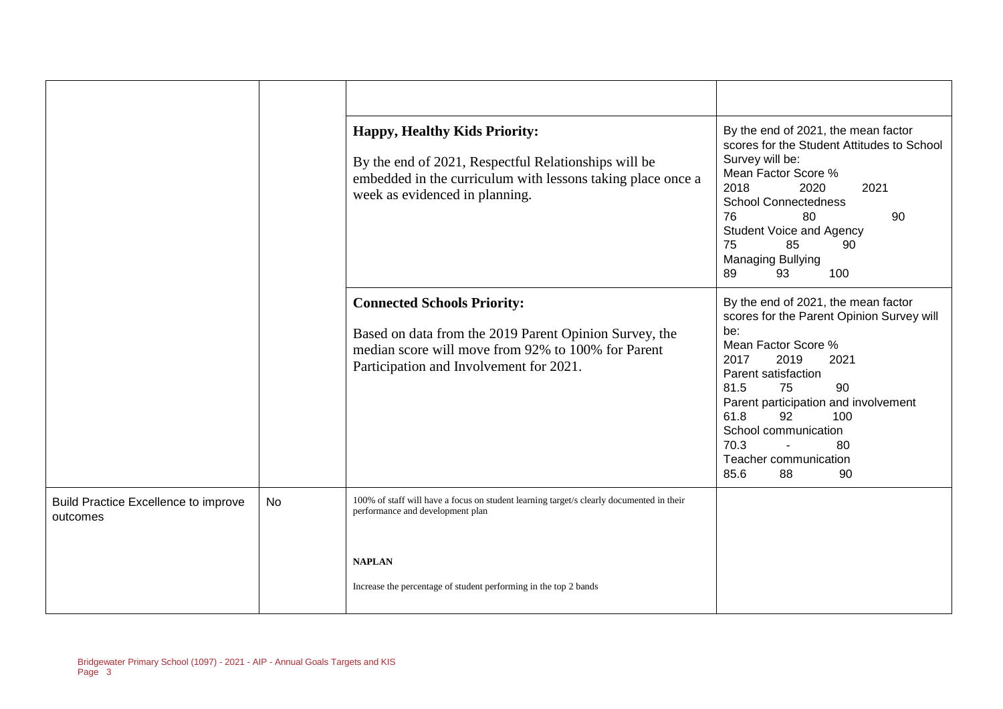|                                                  |    | <b>Happy, Healthy Kids Priority:</b><br>By the end of 2021, Respectful Relationships will be<br>embedded in the curriculum with lessons taking place once a<br>week as evidenced in planning. | By the end of 2021, the mean factor<br>scores for the Student Attitudes to School<br>Survey will be:<br>Mean Factor Score %<br>2018<br>2020<br>2021<br><b>School Connectedness</b><br>76<br>80<br>90<br><b>Student Voice and Agency</b><br>85<br>75<br>90<br><b>Managing Bullying</b><br>89<br>93<br>100                          |
|--------------------------------------------------|----|-----------------------------------------------------------------------------------------------------------------------------------------------------------------------------------------------|-----------------------------------------------------------------------------------------------------------------------------------------------------------------------------------------------------------------------------------------------------------------------------------------------------------------------------------|
|                                                  |    | <b>Connected Schools Priority:</b><br>Based on data from the 2019 Parent Opinion Survey, the<br>median score will move from 92% to 100% for Parent<br>Participation and Involvement for 2021. | By the end of 2021, the mean factor<br>scores for the Parent Opinion Survey will<br>be:<br>Mean Factor Score %<br>2017<br>2019<br>2021<br>Parent satisfaction<br>81.5<br>75<br>90<br>Parent participation and involvement<br>61.8<br>100<br>92<br>School communication<br>70.3<br>80<br>Teacher communication<br>85.6<br>88<br>90 |
| Build Practice Excellence to improve<br>outcomes | No | 100% of staff will have a focus on student learning target/s clearly documented in their<br>performance and development plan                                                                  |                                                                                                                                                                                                                                                                                                                                   |
|                                                  |    | <b>NAPLAN</b><br>Increase the percentage of student performing in the top 2 bands                                                                                                             |                                                                                                                                                                                                                                                                                                                                   |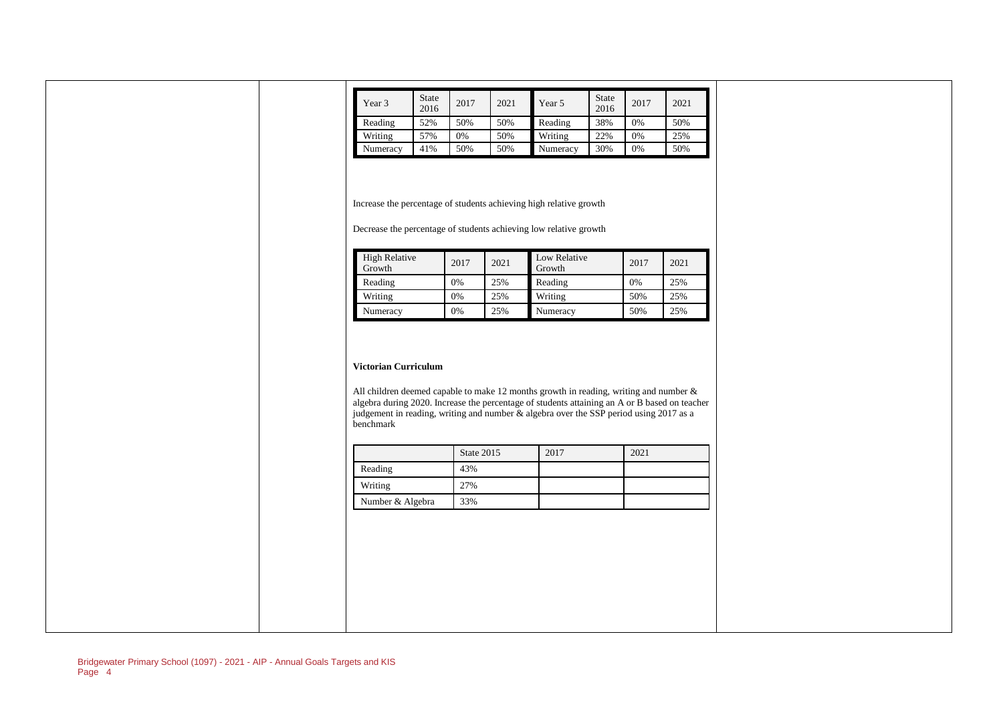| Year 3   | <b>State</b><br>2016 | 2017 | 2021 | Year 5   | <b>State</b><br>2016 | 2017 | 2021 |
|----------|----------------------|------|------|----------|----------------------|------|------|
| Reading  | 52%                  | 50%  | 50%  | Reading  | 38%                  | 0%   | 50%  |
| Writing  | 57%                  | 0%   | 50%  | Writing  | 22%                  | 0%   | 25%  |
| Numeracy | 41%                  | 50%  | 50%  | Numeracy | 30%                  | 0%   | 50%  |

Increase the percentage of students achieving high relative growth

Decrease the percentage of students achieving low relative growth

| High Relative<br>Growth | 2017 | 2021 | Low Relative<br>Growth | 2017 | 2021 |
|-------------------------|------|------|------------------------|------|------|
| Reading                 | 0%   | 25%  | Reading                | 0%   | 25%  |
| Writing                 | 0%   | 25%  | Writing                | 50%  | 25%  |
| Numeracy                | 0%   | 25%  | Numeracy               | 50%  | 25%  |

#### **Victorian Curriculum**

All children deemed capable to make 12 months growth in reading, writing and number & algebra during 2020. Increase the percentage of students attaining an A or B based on teacher judgement in reading, writing and number & algebra over the SSP period using 2017 as a benchmark

|                  | State 2015 | 2017 | 2021 |
|------------------|------------|------|------|
| Reading          | 43%        |      |      |
| Writing          | 27%        |      |      |
| Number & Algebra | 33%        |      |      |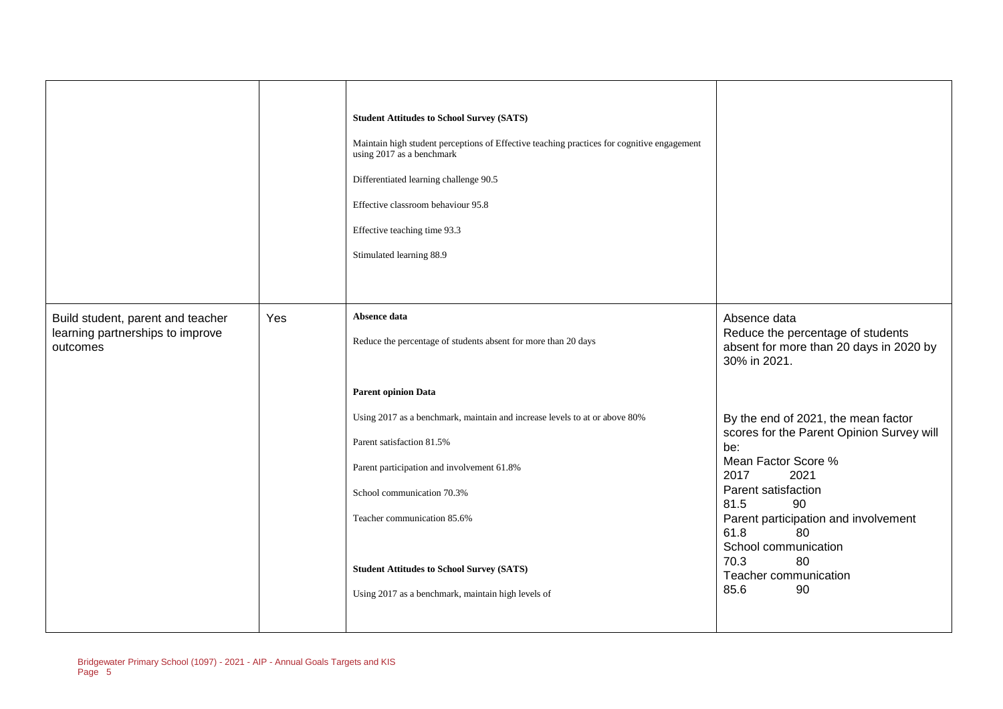|                                                                                   |     | <b>Student Attitudes to School Survey (SATS)</b><br>Maintain high student perceptions of Effective teaching practices for cognitive engagement<br>using 2017 as a benchmark<br>Differentiated learning challenge 90.5<br>Effective classroom behaviour 95.8<br>Effective teaching time 93.3<br>Stimulated learning 88.9 |                                                                                                              |
|-----------------------------------------------------------------------------------|-----|-------------------------------------------------------------------------------------------------------------------------------------------------------------------------------------------------------------------------------------------------------------------------------------------------------------------------|--------------------------------------------------------------------------------------------------------------|
| Build student, parent and teacher<br>learning partnerships to improve<br>outcomes | Yes | Absence data<br>Reduce the percentage of students absent for more than 20 days                                                                                                                                                                                                                                          | Absence data<br>Reduce the percentage of students<br>absent for more than 20 days in 2020 by<br>30% in 2021. |
|                                                                                   |     | <b>Parent opinion Data</b>                                                                                                                                                                                                                                                                                              |                                                                                                              |
|                                                                                   |     | Using 2017 as a benchmark, maintain and increase levels to at or above 80%                                                                                                                                                                                                                                              | By the end of 2021, the mean factor                                                                          |
|                                                                                   |     | Parent satisfaction 81.5%                                                                                                                                                                                                                                                                                               | scores for the Parent Opinion Survey will<br>be:                                                             |
|                                                                                   |     | Parent participation and involvement 61.8%                                                                                                                                                                                                                                                                              | Mean Factor Score %<br>2017<br>2021                                                                          |
|                                                                                   |     | School communication 70.3%                                                                                                                                                                                                                                                                                              | Parent satisfaction<br>81.5<br>90                                                                            |
|                                                                                   |     | Teacher communication 85.6%                                                                                                                                                                                                                                                                                             | Parent participation and involvement<br>61.8<br>80<br>School communication                                   |
|                                                                                   |     | <b>Student Attitudes to School Survey (SATS)</b>                                                                                                                                                                                                                                                                        | 70.3<br>80<br>Teacher communication                                                                          |
|                                                                                   |     | Using 2017 as a benchmark, maintain high levels of                                                                                                                                                                                                                                                                      | 85.6<br>90                                                                                                   |
|                                                                                   |     |                                                                                                                                                                                                                                                                                                                         |                                                                                                              |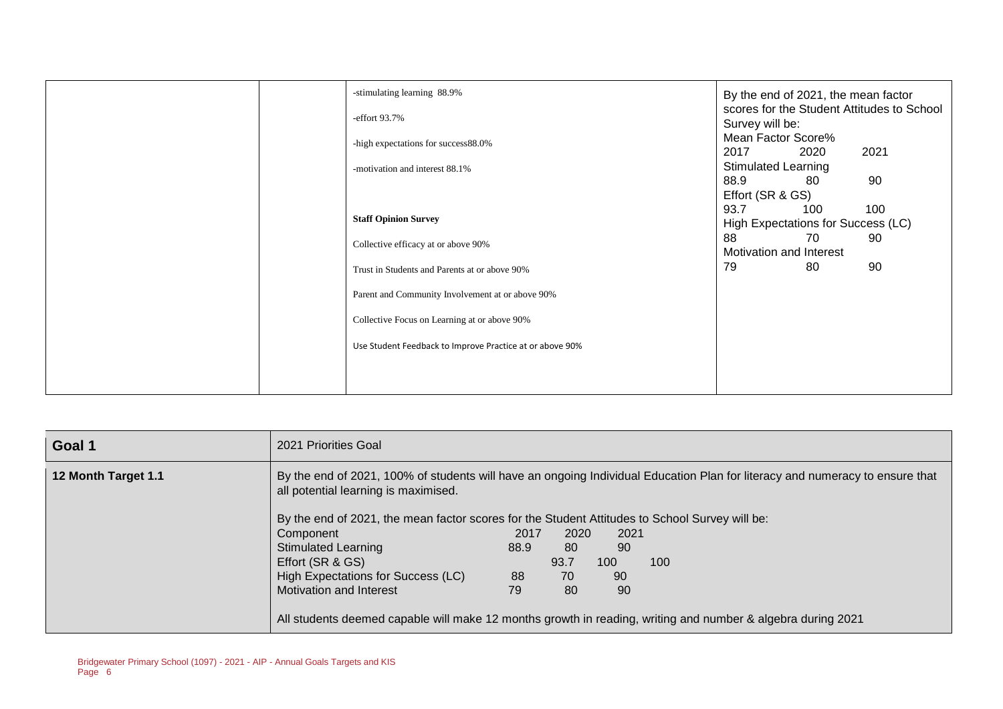| -stimulating learning 88.9%                              | By the end of 2021, the mean factor                           |
|----------------------------------------------------------|---------------------------------------------------------------|
| -effort 93.7%                                            | scores for the Student Attitudes to School<br>Survey will be: |
| -high expectations for success88.0%                      | Mean Factor Score%<br>2017<br>2020<br>2021                    |
| -motivation and interest 88.1%                           | <b>Stimulated Learning</b>                                    |
|                                                          | 88.9<br>90<br>80<br>Effort (SR & GS)                          |
| <b>Staff Opinion Survey</b>                              | 93.7<br>100<br>100<br>High Expectations for Success (LC)      |
| Collective efficacy at or above 90%                      | 88<br>70<br>90<br>Motivation and Interest                     |
| Trust in Students and Parents at or above 90%            | 90<br>79<br>80                                                |
| Parent and Community Involvement at or above 90%         |                                                               |
| Collective Focus on Learning at or above 90%             |                                                               |
| Use Student Feedback to Improve Practice at or above 90% |                                                               |
|                                                          |                                                               |
|                                                          |                                                               |

| Goal 1              | 2021 Priorities Goal                                                                                                                                                                                                                                                   |      |      |      |                                                                                                             |  |
|---------------------|------------------------------------------------------------------------------------------------------------------------------------------------------------------------------------------------------------------------------------------------------------------------|------|------|------|-------------------------------------------------------------------------------------------------------------|--|
| 12 Month Target 1.1 | By the end of 2021, 100% of students will have an ongoing Individual Education Plan for literacy and numeracy to ensure that<br>all potential learning is maximised.<br>By the end of 2021, the mean factor scores for the Student Attitudes to School Survey will be: |      |      |      |                                                                                                             |  |
|                     |                                                                                                                                                                                                                                                                        | 2017 | 2020 | 2021 |                                                                                                             |  |
|                     | Component                                                                                                                                                                                                                                                              |      |      |      |                                                                                                             |  |
|                     | <b>Stimulated Learning</b>                                                                                                                                                                                                                                             | 88.9 | 80   | 90   |                                                                                                             |  |
|                     | Effort (SR & GS)                                                                                                                                                                                                                                                       |      | 93.7 | 100  | 100                                                                                                         |  |
|                     | High Expectations for Success (LC)                                                                                                                                                                                                                                     | 88   | 70   | 90   |                                                                                                             |  |
|                     | Motivation and Interest                                                                                                                                                                                                                                                | 79   | 80   | 90   |                                                                                                             |  |
|                     |                                                                                                                                                                                                                                                                        |      |      |      | All students deemed capable will make 12 months growth in reading, writing and number & algebra during 2021 |  |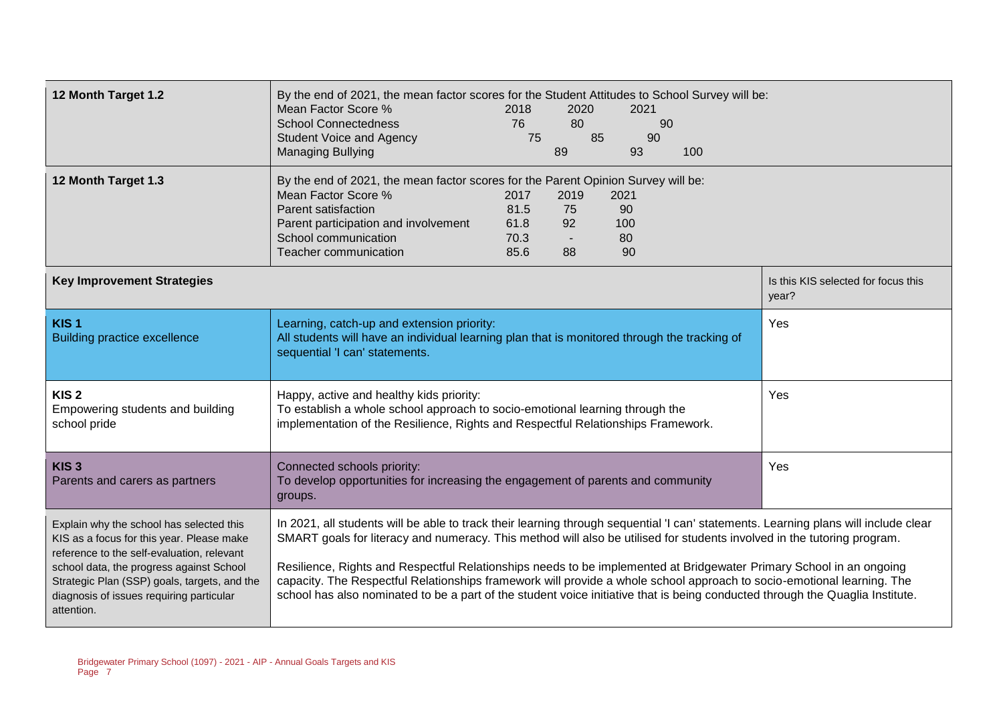| 12 Month Target 1.2                                                                                                                                                                                                                                                                       | By the end of 2021, the mean factor scores for the Student Attitudes to School Survey will be:<br>Mean Factor Score %<br>2020<br>2018<br>2021<br><b>School Connectedness</b><br>80<br>76<br>90<br>75<br>85<br><b>Student Voice and Agency</b><br>90<br>93<br><b>Managing Bullying</b><br>89<br>100                                                                                                                                                                                                                                                                                                                                               |                                              |
|-------------------------------------------------------------------------------------------------------------------------------------------------------------------------------------------------------------------------------------------------------------------------------------------|--------------------------------------------------------------------------------------------------------------------------------------------------------------------------------------------------------------------------------------------------------------------------------------------------------------------------------------------------------------------------------------------------------------------------------------------------------------------------------------------------------------------------------------------------------------------------------------------------------------------------------------------------|----------------------------------------------|
| 12 Month Target 1.3                                                                                                                                                                                                                                                                       | By the end of 2021, the mean factor scores for the Parent Opinion Survey will be:<br>Mean Factor Score %<br>2017<br>2019<br>2021<br>Parent satisfaction<br>81.5<br>75<br>90<br>Parent participation and involvement<br>61.8<br>92<br>100<br>School communication<br>70.3<br>80<br>Teacher communication<br>85.6<br>90<br>88                                                                                                                                                                                                                                                                                                                      |                                              |
| <b>Key Improvement Strategies</b>                                                                                                                                                                                                                                                         |                                                                                                                                                                                                                                                                                                                                                                                                                                                                                                                                                                                                                                                  | Is this KIS selected for focus this<br>year? |
| KIS <sub>1</sub><br><b>Building practice excellence</b>                                                                                                                                                                                                                                   | Learning, catch-up and extension priority:<br>All students will have an individual learning plan that is monitored through the tracking of<br>sequential 'I can' statements.                                                                                                                                                                                                                                                                                                                                                                                                                                                                     | Yes                                          |
| KIS <sub>2</sub><br>Empowering students and building<br>school pride                                                                                                                                                                                                                      | Happy, active and healthy kids priority:<br>To establish a whole school approach to socio-emotional learning through the<br>implementation of the Resilience, Rights and Respectful Relationships Framework.                                                                                                                                                                                                                                                                                                                                                                                                                                     | Yes                                          |
| KIS <sub>3</sub><br>Parents and carers as partners                                                                                                                                                                                                                                        | Connected schools priority:<br>To develop opportunities for increasing the engagement of parents and community<br>groups.                                                                                                                                                                                                                                                                                                                                                                                                                                                                                                                        | Yes                                          |
| Explain why the school has selected this<br>KIS as a focus for this year. Please make<br>reference to the self-evaluation, relevant<br>school data, the progress against School<br>Strategic Plan (SSP) goals, targets, and the<br>diagnosis of issues requiring particular<br>attention. | In 2021, all students will be able to track their learning through sequential 'I can' statements. Learning plans will include clear<br>SMART goals for literacy and numeracy. This method will also be utilised for students involved in the tutoring program.<br>Resilience, Rights and Respectful Relationships needs to be implemented at Bridgewater Primary School in an ongoing<br>capacity. The Respectful Relationships framework will provide a whole school approach to socio-emotional learning. The<br>school has also nominated to be a part of the student voice initiative that is being conducted through the Quaglia Institute. |                                              |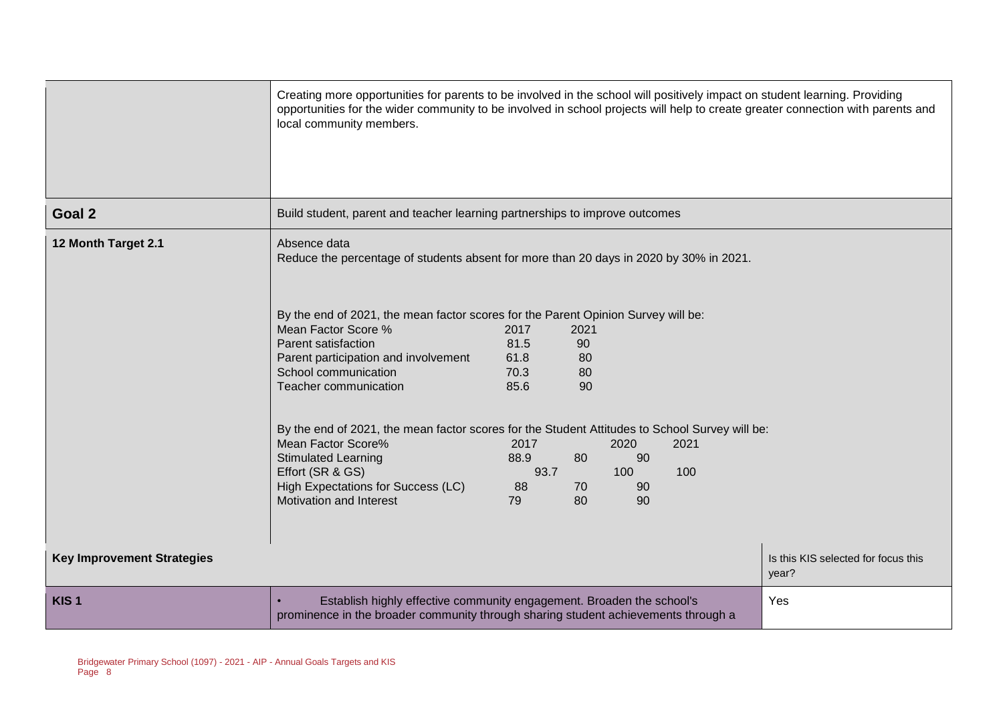|                                   | Creating more opportunities for parents to be involved in the school will positively impact on student learning. Providing<br>opportunities for the wider community to be involved in school projects will help to create greater connection with parents and<br>local community members.                                          |                                      |                              |          |      |                                              |
|-----------------------------------|------------------------------------------------------------------------------------------------------------------------------------------------------------------------------------------------------------------------------------------------------------------------------------------------------------------------------------|--------------------------------------|------------------------------|----------|------|----------------------------------------------|
| Goal 2                            | Build student, parent and teacher learning partnerships to improve outcomes                                                                                                                                                                                                                                                        |                                      |                              |          |      |                                              |
| 12 Month Target 2.1               | Absence data<br>Reduce the percentage of students absent for more than 20 days in 2020 by 30% in 2021.<br>By the end of 2021, the mean factor scores for the Parent Opinion Survey will be:<br>Mean Factor Score %<br>Parent satisfaction<br>Parent participation and involvement<br>School communication<br>Teacher communication | 2017<br>81.5<br>61.8<br>70.3<br>85.6 | 2021<br>90<br>80<br>80<br>90 |          |      |                                              |
|                                   | By the end of 2021, the mean factor scores for the Student Attitudes to School Survey will be:<br>Mean Factor Score%                                                                                                                                                                                                               | 2017                                 |                              | 2020     | 2021 |                                              |
|                                   | <b>Stimulated Learning</b>                                                                                                                                                                                                                                                                                                         | 88.9                                 | 80                           | 90       |      |                                              |
|                                   | Effort (SR & GS)                                                                                                                                                                                                                                                                                                                   | 93.7                                 |                              | 100      | 100  |                                              |
|                                   | High Expectations for Success (LC)<br>Motivation and Interest                                                                                                                                                                                                                                                                      | 88<br>79                             | 70<br>80                     | 90<br>90 |      |                                              |
|                                   |                                                                                                                                                                                                                                                                                                                                    |                                      |                              |          |      |                                              |
| <b>Key Improvement Strategies</b> |                                                                                                                                                                                                                                                                                                                                    |                                      |                              |          |      | Is this KIS selected for focus this<br>year? |
| KIS <sub>1</sub>                  | Establish highly effective community engagement. Broaden the school's<br>prominence in the broader community through sharing student achievements through a                                                                                                                                                                        |                                      |                              |          |      | Yes                                          |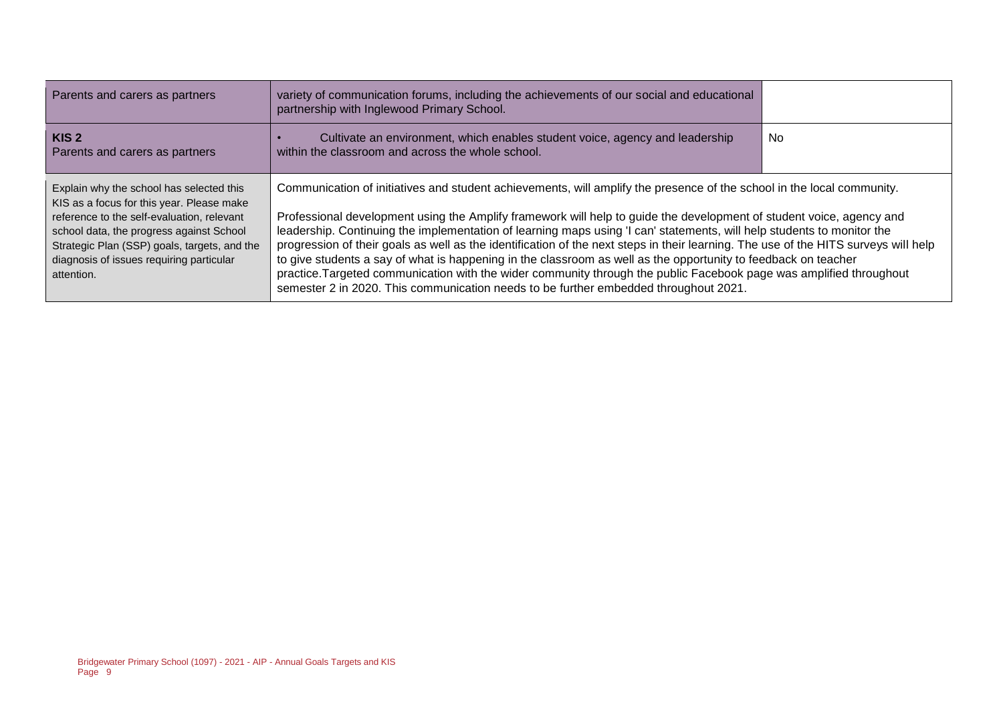| Parents and carers as partners                                                                                                                                                                                                                                                            | variety of communication forums, including the achievements of our social and educational<br>partnership with Inglewood Primary School.                                                                                                                                                                                                                                                                                                                                                                                                                                                                                                                                                                                                                                                                                                          |     |
|-------------------------------------------------------------------------------------------------------------------------------------------------------------------------------------------------------------------------------------------------------------------------------------------|--------------------------------------------------------------------------------------------------------------------------------------------------------------------------------------------------------------------------------------------------------------------------------------------------------------------------------------------------------------------------------------------------------------------------------------------------------------------------------------------------------------------------------------------------------------------------------------------------------------------------------------------------------------------------------------------------------------------------------------------------------------------------------------------------------------------------------------------------|-----|
| KIS <sub>2</sub><br>Parents and carers as partners                                                                                                                                                                                                                                        | Cultivate an environment, which enables student voice, agency and leadership<br>within the classroom and across the whole school.                                                                                                                                                                                                                                                                                                                                                                                                                                                                                                                                                                                                                                                                                                                | No. |
| Explain why the school has selected this<br>KIS as a focus for this year. Please make<br>reference to the self-evaluation, relevant<br>school data, the progress against School<br>Strategic Plan (SSP) goals, targets, and the<br>diagnosis of issues requiring particular<br>attention. | Communication of initiatives and student achievements, will amplify the presence of the school in the local community.<br>Professional development using the Amplify framework will help to guide the development of student voice, agency and<br>leadership. Continuing the implementation of learning maps using 'I can' statements, will help students to monitor the<br>progression of their goals as well as the identification of the next steps in their learning. The use of the HITS surveys will help<br>to give students a say of what is happening in the classroom as well as the opportunity to feedback on teacher<br>practice. Targeted communication with the wider community through the public Facebook page was amplified throughout<br>semester 2 in 2020. This communication needs to be further embedded throughout 2021. |     |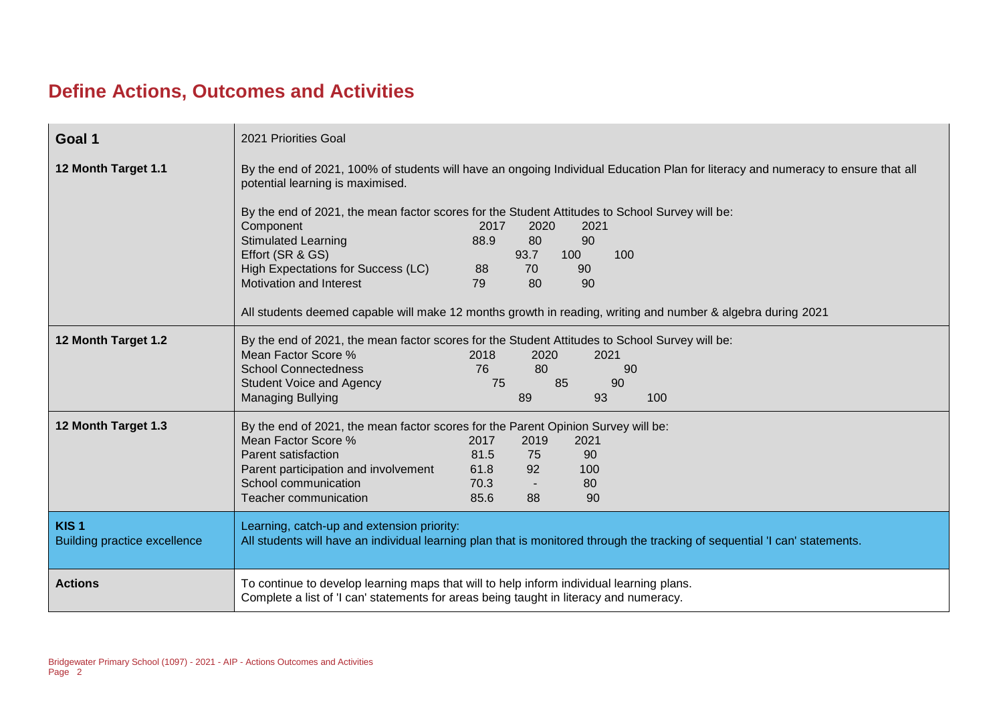#### **Define Actions, Outcomes and Activities**

| Goal 1                                                  | 2021 Priorities Goal                                                                                                                                                                                                                                                                                                                                                                                                                                                                                                                                                                                                               |  |
|---------------------------------------------------------|------------------------------------------------------------------------------------------------------------------------------------------------------------------------------------------------------------------------------------------------------------------------------------------------------------------------------------------------------------------------------------------------------------------------------------------------------------------------------------------------------------------------------------------------------------------------------------------------------------------------------------|--|
| 12 Month Target 1.1                                     | By the end of 2021, 100% of students will have an ongoing Individual Education Plan for literacy and numeracy to ensure that all<br>potential learning is maximised.<br>By the end of 2021, the mean factor scores for the Student Attitudes to School Survey will be:<br>Component<br>2017<br>2020<br>2021<br><b>Stimulated Learning</b><br>80<br>90<br>88.9<br>Effort (SR & GS)<br>93.7<br>100<br>100<br>High Expectations for Success (LC)<br>70<br>90<br>88<br><b>Motivation and Interest</b><br>79<br>80<br>90<br>All students deemed capable will make 12 months growth in reading, writing and number & algebra during 2021 |  |
| 12 Month Target 1.2                                     | By the end of 2021, the mean factor scores for the Student Attitudes to School Survey will be:<br>Mean Factor Score %<br>2018<br>2020<br>2021<br><b>School Connectedness</b><br>76<br>80<br>90<br>75<br>85<br><b>Student Voice and Agency</b><br>90<br>89<br>93<br><b>Managing Bullying</b><br>100                                                                                                                                                                                                                                                                                                                                 |  |
| 12 Month Target 1.3                                     | By the end of 2021, the mean factor scores for the Parent Opinion Survey will be:<br>Mean Factor Score %<br>2017<br>2019<br>2021<br>Parent satisfaction<br>81.5<br>90<br>75<br>Parent participation and involvement<br>61.8<br>92<br>100<br>School communication<br>70.3<br>80<br>Teacher communication<br>85.6<br>88<br>90                                                                                                                                                                                                                                                                                                        |  |
| KIS <sub>1</sub><br><b>Building practice excellence</b> | Learning, catch-up and extension priority:<br>All students will have an individual learning plan that is monitored through the tracking of sequential 'I can' statements.                                                                                                                                                                                                                                                                                                                                                                                                                                                          |  |
| <b>Actions</b>                                          | To continue to develop learning maps that will to help inform individual learning plans.<br>Complete a list of 'I can' statements for areas being taught in literacy and numeracy.                                                                                                                                                                                                                                                                                                                                                                                                                                                 |  |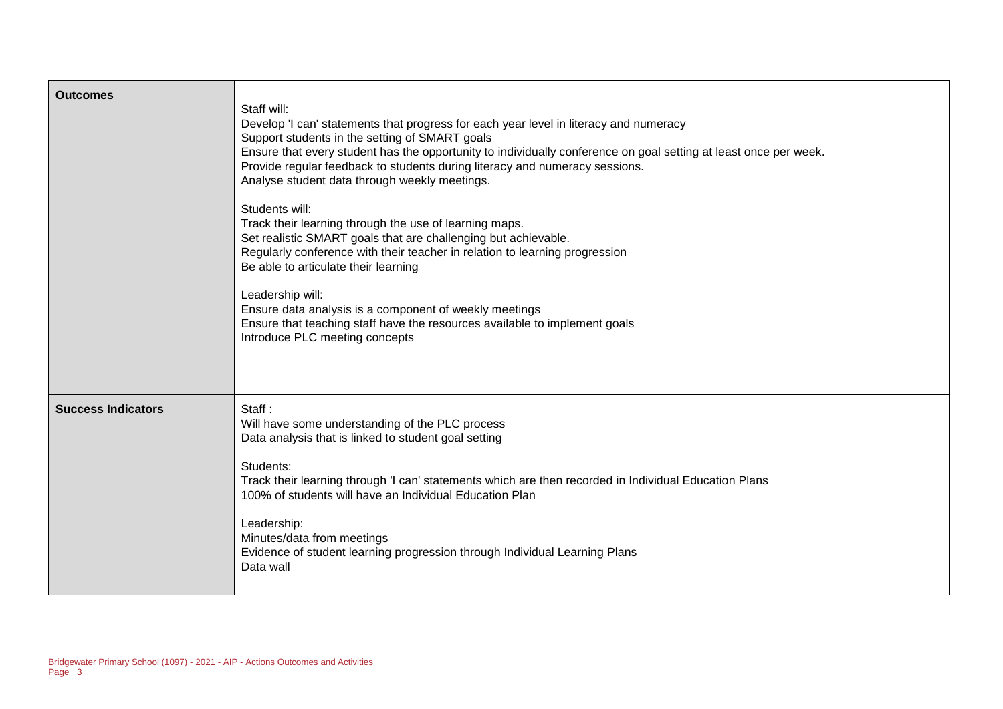| <b>Outcomes</b>           | Staff will:<br>Develop 'I can' statements that progress for each year level in literacy and numeracy<br>Support students in the setting of SMART goals<br>Ensure that every student has the opportunity to individually conference on goal setting at least once per week.<br>Provide regular feedback to students during literacy and numeracy sessions.<br>Analyse student data through weekly meetings.<br>Students will:<br>Track their learning through the use of learning maps.<br>Set realistic SMART goals that are challenging but achievable.<br>Regularly conference with their teacher in relation to learning progression<br>Be able to articulate their learning<br>Leadership will:<br>Ensure data analysis is a component of weekly meetings<br>Ensure that teaching staff have the resources available to implement goals<br>Introduce PLC meeting concepts |
|---------------------------|-------------------------------------------------------------------------------------------------------------------------------------------------------------------------------------------------------------------------------------------------------------------------------------------------------------------------------------------------------------------------------------------------------------------------------------------------------------------------------------------------------------------------------------------------------------------------------------------------------------------------------------------------------------------------------------------------------------------------------------------------------------------------------------------------------------------------------------------------------------------------------|
| <b>Success Indicators</b> | Staff:<br>Will have some understanding of the PLC process<br>Data analysis that is linked to student goal setting<br>Students:<br>Track their learning through 'I can' statements which are then recorded in Individual Education Plans<br>100% of students will have an Individual Education Plan<br>Leadership:<br>Minutes/data from meetings<br>Evidence of student learning progression through Individual Learning Plans<br>Data wall                                                                                                                                                                                                                                                                                                                                                                                                                                    |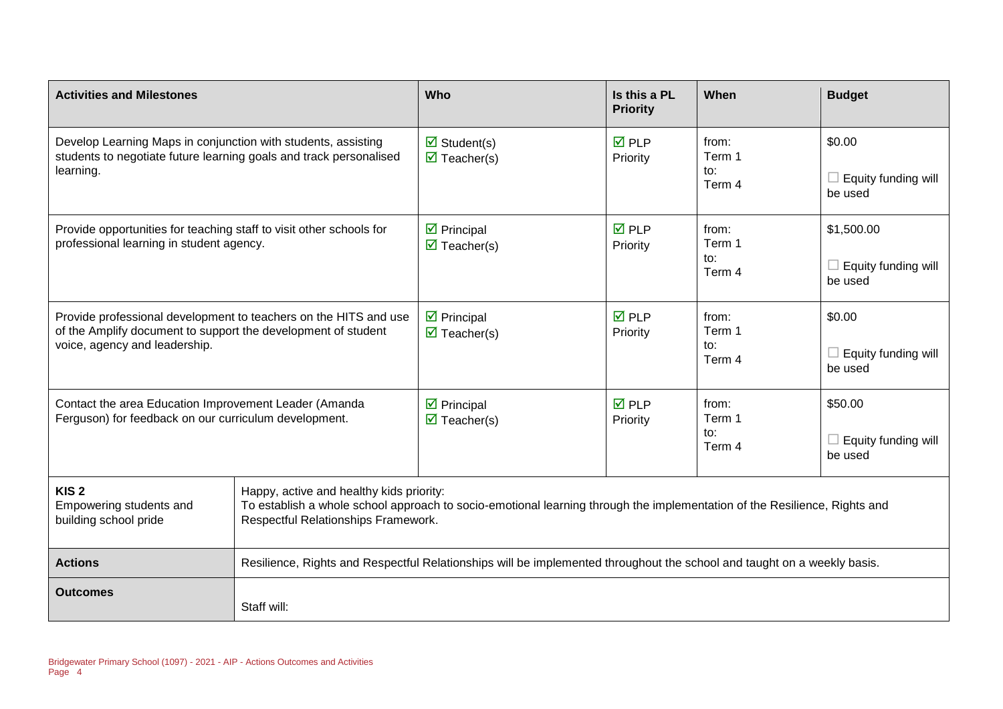| <b>Activities and Milestones</b>                                                                                                                                   |                                                                                                                                                                                                              |                                                                          | Is this a PL<br><b>Priority</b> | When                             | <b>Budget</b>                                |
|--------------------------------------------------------------------------------------------------------------------------------------------------------------------|--------------------------------------------------------------------------------------------------------------------------------------------------------------------------------------------------------------|--------------------------------------------------------------------------|---------------------------------|----------------------------------|----------------------------------------------|
| Develop Learning Maps in conjunction with students, assisting<br>students to negotiate future learning goals and track personalised<br>learning.                   |                                                                                                                                                                                                              | $\overline{\mathbf{z}}$ Student(s)<br>$\overline{\mathbf{M}}$ Teacher(s) | $\nabla$ PLP<br>Priority        | from:<br>Term 1<br>to:<br>Term 4 | \$0.00<br>Equity funding will<br>be used     |
| Provide opportunities for teaching staff to visit other schools for<br>professional learning in student agency.                                                    |                                                                                                                                                                                                              | $\triangleright$ Principal<br>$\overline{\mathbf{M}}$ Teacher(s)         | $\overline{M}$ PLP<br>Priority  | from:<br>Term 1<br>to:<br>Term 4 | \$1,500.00<br>Equity funding will<br>be used |
| Provide professional development to teachers on the HITS and use<br>of the Amplify document to support the development of student<br>voice, agency and leadership. |                                                                                                                                                                                                              | $\triangleright$ Principal<br>$\overline{\mathbf{M}}$ Teacher(s)         | $\overline{M}$ PLP<br>Priority  | from:<br>Term 1<br>to:<br>Term 4 | \$0.00<br>Equity funding will<br>be used     |
| Contact the area Education Improvement Leader (Amanda<br>Ferguson) for feedback on our curriculum development.                                                     |                                                                                                                                                                                                              | $\triangleright$ Principal<br>$\overline{\mathbf{M}}$ Teacher(s)         | $\overline{M}$ PLP<br>Priority  | from:<br>Term 1<br>to:<br>Term 4 | \$50.00<br>Equity funding will<br>be used    |
| KIS <sub>2</sub><br>Empowering students and<br>building school pride                                                                                               | Happy, active and healthy kids priority:<br>To establish a whole school approach to socio-emotional learning through the implementation of the Resilience, Rights and<br>Respectful Relationships Framework. |                                                                          |                                 |                                  |                                              |
| <b>Actions</b>                                                                                                                                                     | Resilience, Rights and Respectful Relationships will be implemented throughout the school and taught on a weekly basis.                                                                                      |                                                                          |                                 |                                  |                                              |
| <b>Outcomes</b>                                                                                                                                                    | Staff will:                                                                                                                                                                                                  |                                                                          |                                 |                                  |                                              |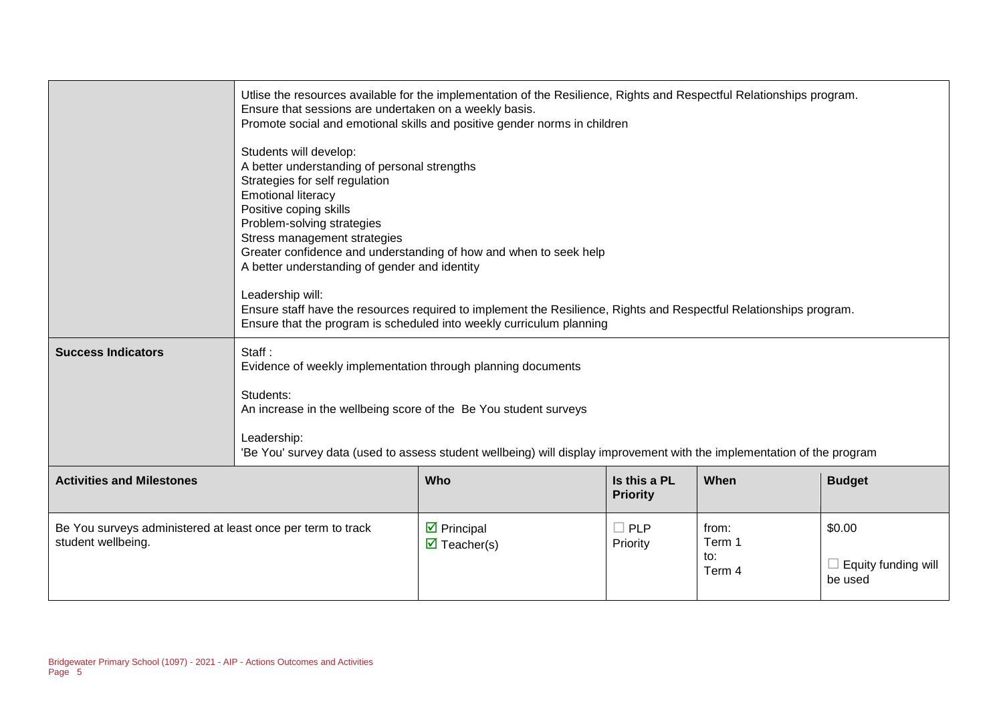| <b>Success Indicators</b>                                                         | Ensure that sessions are undertaken on a weekly basis.<br>Students will develop:<br>A better understanding of personal strengths<br>Strategies for self regulation<br><b>Emotional literacy</b><br>Positive coping skills<br>Problem-solving strategies<br>Stress management strategies<br>A better understanding of gender and identity<br>Leadership will:<br>Staff:<br>Evidence of weekly implementation through planning documents<br>Students:<br>An increase in the wellbeing score of the Be You student surveys<br>Leadership: | Utlise the resources available for the implementation of the Resilience, Rights and Respectful Relationships program.<br>Promote social and emotional skills and positive gender norms in children<br>Greater confidence and understanding of how and when to seek help<br>Ensure staff have the resources required to implement the Resilience, Rights and Respectful Relationships program.<br>Ensure that the program is scheduled into weekly curriculum planning<br>'Be You' survey data (used to assess student wellbeing) will display improvement with the implementation of the program |                        |                                  |                                                 |
|-----------------------------------------------------------------------------------|----------------------------------------------------------------------------------------------------------------------------------------------------------------------------------------------------------------------------------------------------------------------------------------------------------------------------------------------------------------------------------------------------------------------------------------------------------------------------------------------------------------------------------------|--------------------------------------------------------------------------------------------------------------------------------------------------------------------------------------------------------------------------------------------------------------------------------------------------------------------------------------------------------------------------------------------------------------------------------------------------------------------------------------------------------------------------------------------------------------------------------------------------|------------------------|----------------------------------|-------------------------------------------------|
| <b>Activities and Milestones</b>                                                  |                                                                                                                                                                                                                                                                                                                                                                                                                                                                                                                                        | Who                                                                                                                                                                                                                                                                                                                                                                                                                                                                                                                                                                                              | Is this a PL           | When                             | <b>Budget</b>                                   |
| <b>Priority</b>                                                                   |                                                                                                                                                                                                                                                                                                                                                                                                                                                                                                                                        |                                                                                                                                                                                                                                                                                                                                                                                                                                                                                                                                                                                                  |                        |                                  |                                                 |
| Be You surveys administered at least once per term to track<br>student wellbeing. |                                                                                                                                                                                                                                                                                                                                                                                                                                                                                                                                        | $\triangleright$ Principal<br>$\overline{\mathbf{z}}$ Teacher(s)                                                                                                                                                                                                                                                                                                                                                                                                                                                                                                                                 | $\Box$ PLP<br>Priority | from:<br>Term 1<br>to:<br>Term 4 | \$0.00<br>$\Box$ Equity funding will<br>be used |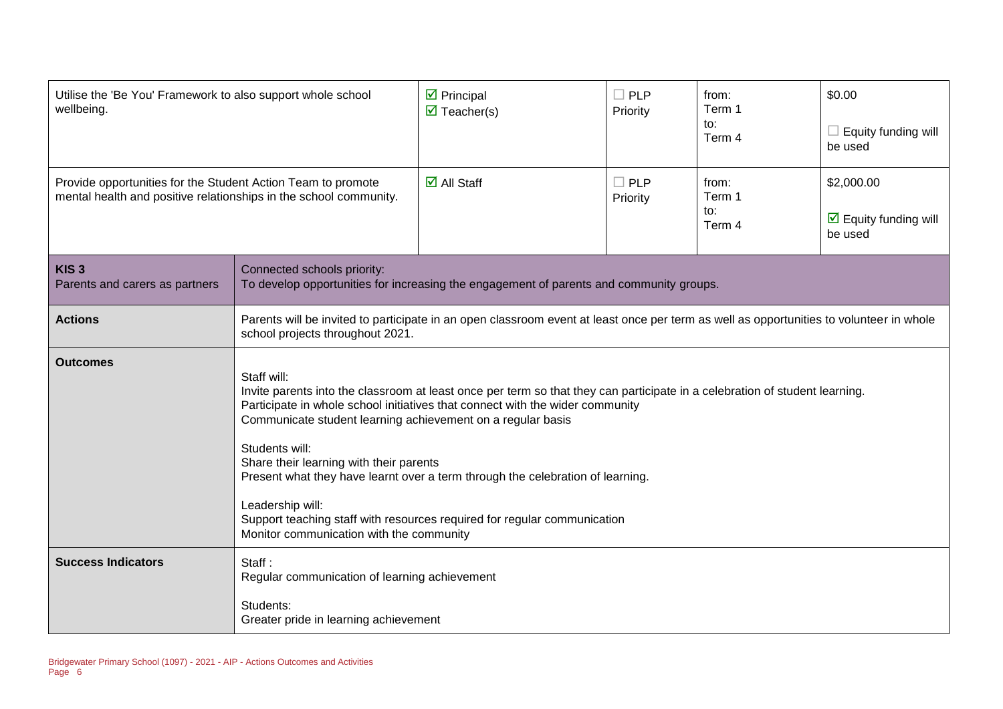| Utilise the 'Be You' Framework to also support whole school<br>wellbeing.                                                         |                                                                                                                                                                                                                                                                                                                                                                                                                                                                                                                                                                                       | $\boxtimes$ Principal<br>$\overline{\mathbf{M}}$ Teacher(s) | $\square$ PLP<br>Priority | from:<br>Term 1<br>to:<br>Term 4 | \$0.00<br>$\Box$ Equity funding will<br>be used                      |  |
|-----------------------------------------------------------------------------------------------------------------------------------|---------------------------------------------------------------------------------------------------------------------------------------------------------------------------------------------------------------------------------------------------------------------------------------------------------------------------------------------------------------------------------------------------------------------------------------------------------------------------------------------------------------------------------------------------------------------------------------|-------------------------------------------------------------|---------------------------|----------------------------------|----------------------------------------------------------------------|--|
| Provide opportunities for the Student Action Team to promote<br>mental health and positive relationships in the school community. |                                                                                                                                                                                                                                                                                                                                                                                                                                                                                                                                                                                       | $\overline{\mathbf{M}}$ All Staff                           | $\Box$ PLP<br>Priority    | from:<br>Term 1<br>to:<br>Term 4 | \$2,000.00<br>$\overline{\mathbf{y}}$ Equity funding will<br>be used |  |
| KIS <sub>3</sub><br>Parents and carers as partners                                                                                | Connected schools priority:<br>To develop opportunities for increasing the engagement of parents and community groups.                                                                                                                                                                                                                                                                                                                                                                                                                                                                |                                                             |                           |                                  |                                                                      |  |
| <b>Actions</b>                                                                                                                    | Parents will be invited to participate in an open classroom event at least once per term as well as opportunities to volunteer in whole<br>school projects throughout 2021.                                                                                                                                                                                                                                                                                                                                                                                                           |                                                             |                           |                                  |                                                                      |  |
| <b>Outcomes</b>                                                                                                                   | Staff will:<br>Invite parents into the classroom at least once per term so that they can participate in a celebration of student learning.<br>Participate in whole school initiatives that connect with the wider community<br>Communicate student learning achievement on a regular basis<br>Students will:<br>Share their learning with their parents<br>Present what they have learnt over a term through the celebration of learning.<br>Leadership will:<br>Support teaching staff with resources required for regular communication<br>Monitor communication with the community |                                                             |                           |                                  |                                                                      |  |
| <b>Success Indicators</b>                                                                                                         | Staff:<br>Regular communication of learning achievement<br>Students:<br>Greater pride in learning achievement                                                                                                                                                                                                                                                                                                                                                                                                                                                                         |                                                             |                           |                                  |                                                                      |  |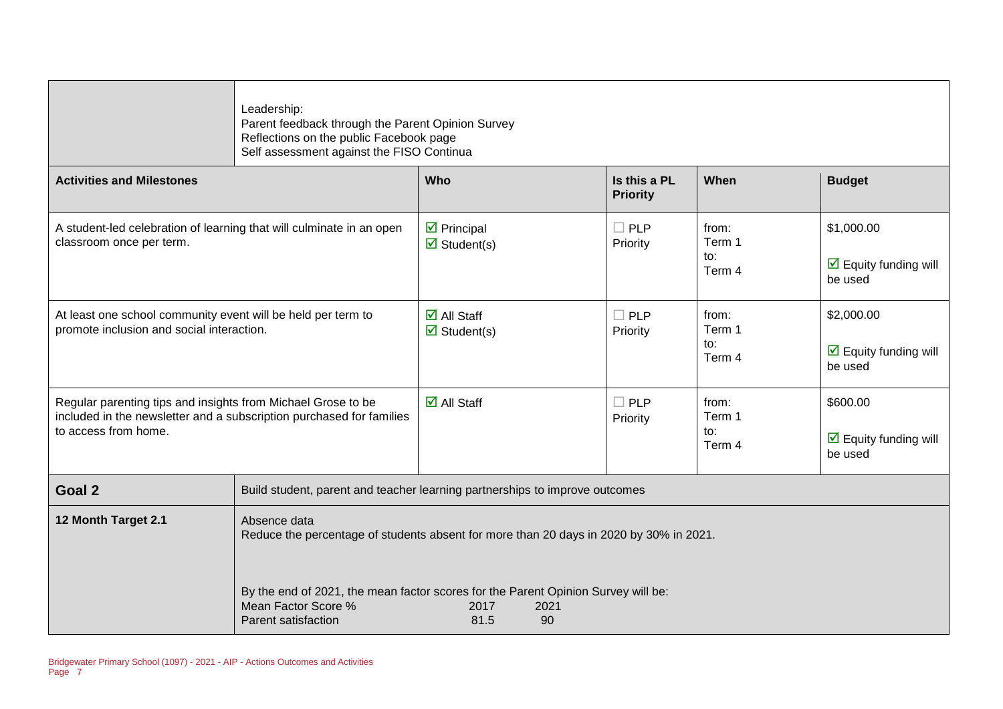|                                                                                                                                                              | Leadership:<br>Parent feedback through the Parent Opinion Survey<br>Reflections on the public Facebook page<br>Self assessment against the FISO Continua                                                                                                                |                                                                             |                                 |                                  |                                                                      |  |  |
|--------------------------------------------------------------------------------------------------------------------------------------------------------------|-------------------------------------------------------------------------------------------------------------------------------------------------------------------------------------------------------------------------------------------------------------------------|-----------------------------------------------------------------------------|---------------------------------|----------------------------------|----------------------------------------------------------------------|--|--|
| <b>Activities and Milestones</b>                                                                                                                             |                                                                                                                                                                                                                                                                         | Who                                                                         | Is this a PL<br><b>Priority</b> | When                             | <b>Budget</b>                                                        |  |  |
| A student-led celebration of learning that will culminate in an open<br>classroom once per term.                                                             |                                                                                                                                                                                                                                                                         | $\overline{\mathbf{z}}$ Principal<br>$\triangledown$ Student(s)             | $\square$ PLP<br>Priority       | from:<br>Term 1<br>to:<br>Term 4 | \$1,000.00<br>$\overline{\mathbf{M}}$ Equity funding will<br>be used |  |  |
| At least one school community event will be held per term to<br>promote inclusion and social interaction.                                                    |                                                                                                                                                                                                                                                                         | $\overline{\mathbf{M}}$ All Staff<br>$\overline{\mathbf{z}}$ Student(s)     | $\Box$ PLP<br>Priority          | from:<br>Term 1<br>to:<br>Term 4 | \$2,000.00<br>$\triangleright$ Equity funding will<br>be used        |  |  |
| Regular parenting tips and insights from Michael Grose to be<br>included in the newsletter and a subscription purchased for families<br>to access from home. |                                                                                                                                                                                                                                                                         | $\overline{\mathbf{M}}$ All Staff                                           | $\Box$ PLP<br>Priority          | from:<br>Term 1<br>to:<br>Term 4 | \$600.00<br>$\triangleright$ Equity funding will<br>be used          |  |  |
| Goal 2                                                                                                                                                       |                                                                                                                                                                                                                                                                         | Build student, parent and teacher learning partnerships to improve outcomes |                                 |                                  |                                                                      |  |  |
| 12 Month Target 2.1                                                                                                                                          | Absence data<br>Reduce the percentage of students absent for more than 20 days in 2020 by 30% in 2021.<br>By the end of 2021, the mean factor scores for the Parent Opinion Survey will be:<br>Mean Factor Score %<br>2017<br>2021<br>81.5<br>90<br>Parent satisfaction |                                                                             |                                 |                                  |                                                                      |  |  |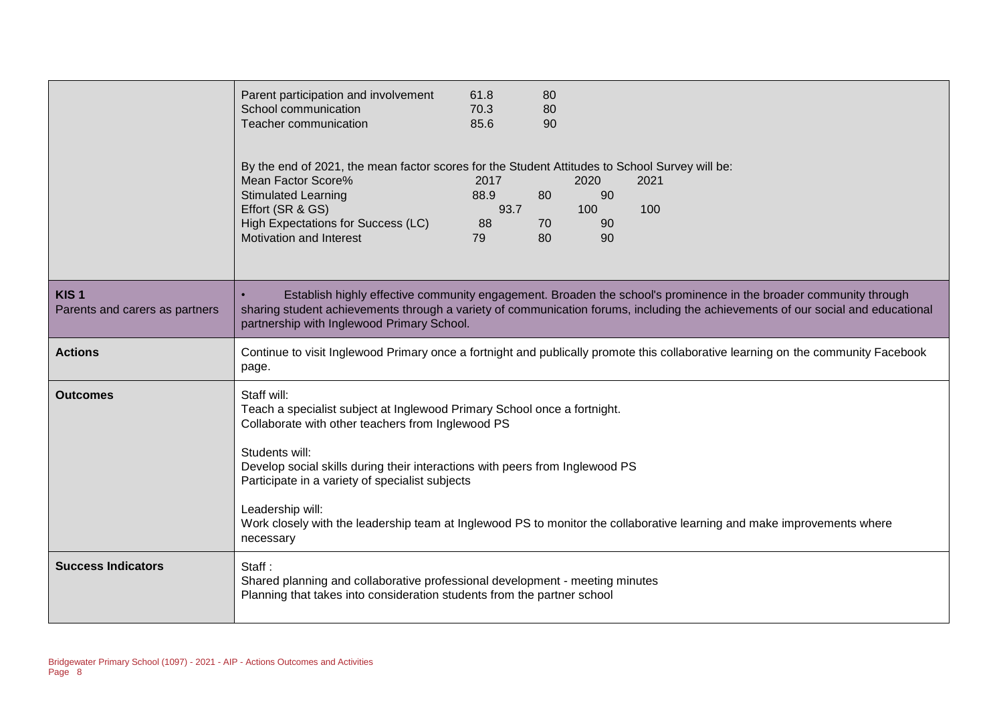|                                                    | Parent participation and involvement<br>School communication<br>Teacher communication                                                                                                                                                                                                                                              | 61.8<br>70.3<br>85.6             | 80<br>80<br>90 |                               |                                                                                                                                                                                                                                                       |
|----------------------------------------------------|------------------------------------------------------------------------------------------------------------------------------------------------------------------------------------------------------------------------------------------------------------------------------------------------------------------------------------|----------------------------------|----------------|-------------------------------|-------------------------------------------------------------------------------------------------------------------------------------------------------------------------------------------------------------------------------------------------------|
|                                                    | By the end of 2021, the mean factor scores for the Student Attitudes to School Survey will be:<br>Mean Factor Score%<br><b>Stimulated Learning</b><br>Effort (SR & GS)<br>High Expectations for Success (LC)<br><b>Motivation and Interest</b>                                                                                     | 2017<br>88.9<br>93.7<br>88<br>79 | 80<br>70<br>80 | 2020<br>90<br>100<br>90<br>90 | 2021<br>100                                                                                                                                                                                                                                           |
| KIS <sub>1</sub><br>Parents and carers as partners | partnership with Inglewood Primary School.                                                                                                                                                                                                                                                                                         |                                  |                |                               | Establish highly effective community engagement. Broaden the school's prominence in the broader community through<br>sharing student achievements through a variety of communication forums, including the achievements of our social and educational |
| <b>Actions</b>                                     | page.                                                                                                                                                                                                                                                                                                                              |                                  |                |                               | Continue to visit Inglewood Primary once a fortnight and publically promote this collaborative learning on the community Facebook                                                                                                                     |
| <b>Outcomes</b>                                    | Staff will:<br>Teach a specialist subject at Inglewood Primary School once a fortnight.<br>Collaborate with other teachers from Inglewood PS<br>Students will:<br>Develop social skills during their interactions with peers from Inglewood PS<br>Participate in a variety of specialist subjects<br>Leadership will:<br>necessary |                                  |                |                               | Work closely with the leadership team at Inglewood PS to monitor the collaborative learning and make improvements where                                                                                                                               |
| <b>Success Indicators</b>                          | Staff:<br>Shared planning and collaborative professional development - meeting minutes<br>Planning that takes into consideration students from the partner school                                                                                                                                                                  |                                  |                |                               |                                                                                                                                                                                                                                                       |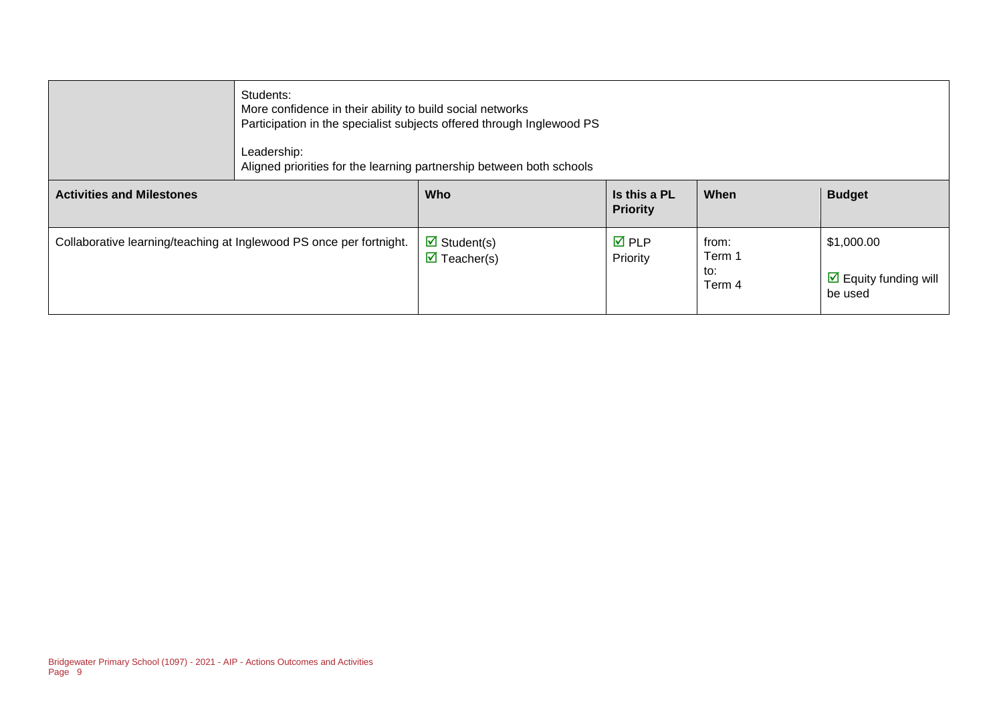|                                                                     | Students:<br>More confidence in their ability to build social networks<br>Participation in the specialist subjects offered through Inglewood PS<br>Leadership:<br>Aligned priorities for the learning partnership between both schools |                                                                   |                                 |                                  |                                                               |  |
|---------------------------------------------------------------------|----------------------------------------------------------------------------------------------------------------------------------------------------------------------------------------------------------------------------------------|-------------------------------------------------------------------|---------------------------------|----------------------------------|---------------------------------------------------------------|--|
| <b>Activities and Milestones</b>                                    |                                                                                                                                                                                                                                        | <b>Who</b>                                                        | Is this a PL<br><b>Priority</b> | When                             | <b>Budget</b>                                                 |  |
| Collaborative learning/teaching at Inglewood PS once per fortnight. |                                                                                                                                                                                                                                        | $\triangleright$ Student(s)<br>$\overline{\mathbf{M}}$ Teacher(s) | $\overline{M}$ PLP<br>Priority  | from:<br>Term 1<br>to:<br>Term 4 | \$1,000.00<br>$\triangleright$ Equity funding will<br>be used |  |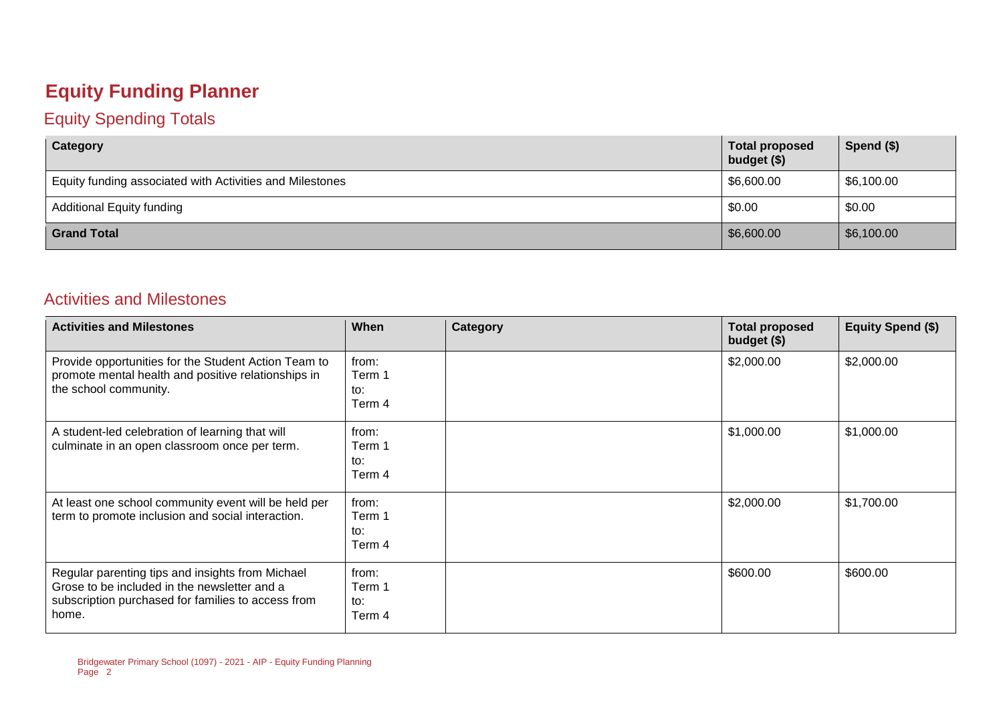## **Equity Funding Planner**

#### Equity Spending Totals

| Category                                                 | <b>Total proposed</b><br>budget (\$) | Spend $(\$)$ |
|----------------------------------------------------------|--------------------------------------|--------------|
| Equity funding associated with Activities and Milestones | \$6,600.00                           | \$6,100.00   |
| <b>Additional Equity funding</b>                         | \$0.00                               | \$0.00       |
| <b>Grand Total</b>                                       | \$6,600.00                           | \$6,100.00   |

#### Activities and Milestones

| <b>Activities and Milestones</b>                                                                                                                                | When                             | Category | <b>Total proposed</b><br>budget (\$) | <b>Equity Spend (\$)</b> |
|-----------------------------------------------------------------------------------------------------------------------------------------------------------------|----------------------------------|----------|--------------------------------------|--------------------------|
| Provide opportunities for the Student Action Team to<br>promote mental health and positive relationships in<br>the school community.                            | from:<br>Term 1<br>to:<br>Term 4 |          | \$2,000.00                           | \$2,000.00               |
| A student-led celebration of learning that will<br>culminate in an open classroom once per term.                                                                | from:<br>Term 1<br>to:<br>Term 4 |          | \$1,000.00                           | \$1,000.00               |
| At least one school community event will be held per<br>term to promote inclusion and social interaction.                                                       | from:<br>Term 1<br>to:<br>Term 4 |          | \$2,000.00                           | \$1,700.00               |
| Regular parenting tips and insights from Michael<br>Grose to be included in the newsletter and a<br>subscription purchased for families to access from<br>home. | from:<br>Term 1<br>to:<br>Term 4 |          | \$600.00                             | \$600.00                 |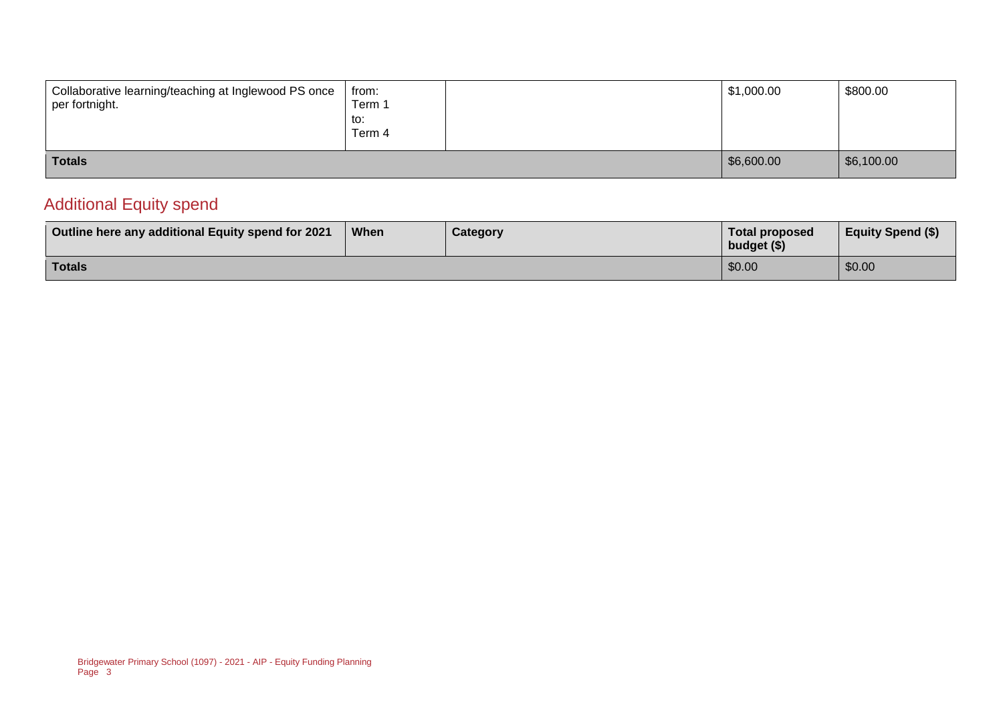| Collaborative learning/teaching at Inglewood PS once<br>per fortnight. | from:<br>Term 1<br>to:<br>Term 4 | \$1,000.00 | \$800.00   |
|------------------------------------------------------------------------|----------------------------------|------------|------------|
| <b>Totals</b>                                                          |                                  | \$6,600.00 | \$6,100.00 |

#### Additional Equity spend

| Outline here any additional Equity spend for 2021 | When | <b>Category</b> | <b>Total proposed</b><br>budget (\$) | <b>Equity Spend (\$)</b> |
|---------------------------------------------------|------|-----------------|--------------------------------------|--------------------------|
| <b>Totals</b>                                     |      |                 | \$0.00                               | \$0.00                   |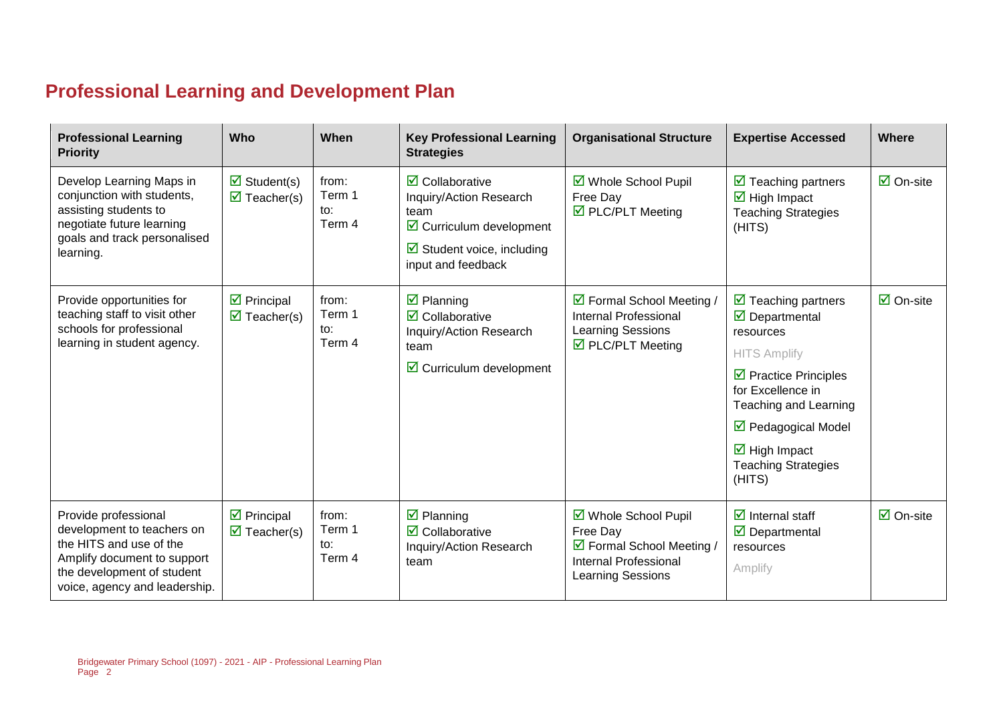### **Professional Learning and Development Plan**

| <b>Professional Learning</b><br><b>Priority</b>                                                                                                                             | Who                                                                      | When                             | <b>Key Professional Learning</b><br><b>Strategies</b>                                                                                                                             | <b>Organisational Structure</b>                                                                                    | <b>Expertise Accessed</b>                                                                                                                                                                                                                                                                                  | <b>Where</b>                    |
|-----------------------------------------------------------------------------------------------------------------------------------------------------------------------------|--------------------------------------------------------------------------|----------------------------------|-----------------------------------------------------------------------------------------------------------------------------------------------------------------------------------|--------------------------------------------------------------------------------------------------------------------|------------------------------------------------------------------------------------------------------------------------------------------------------------------------------------------------------------------------------------------------------------------------------------------------------------|---------------------------------|
| Develop Learning Maps in<br>conjunction with students,<br>assisting students to<br>negotiate future learning<br>goals and track personalised<br>learning.                   | $\overline{\mathbf{z}}$ Student(s)<br>$\overline{\mathbf{M}}$ Teacher(s) | from:<br>Term 1<br>to:<br>Term 4 | $\overline{\mathbf{2}}$ Collaborative<br>Inquiry/Action Research<br>team<br>$\triangleright$ Curriculum development<br>$\boxtimes$ Student voice, including<br>input and feedback | ☑ Whole School Pupil<br>Free Day<br>☑ PLC/PLT Meeting                                                              | $\triangleright$ Teaching partners<br>$\overline{\mathbf{M}}$ High Impact<br><b>Teaching Strategies</b><br>(HITS)                                                                                                                                                                                          | $\overline{\mathsf{M}}$ On-site |
| Provide opportunities for<br>teaching staff to visit other<br>schools for professional<br>learning in student agency.                                                       | $\triangleright$ Principal<br>$\overline{\mathbf{M}}$ Teacher(s)         | from:<br>Term 1<br>to:<br>Term 4 | $\overline{\mathbf{z}}$ Planning<br>$\overline{\mathbf{2}}$ Collaborative<br>Inquiry/Action Research<br>team<br>$\triangleright$ Curriculum development                           | ☑ Formal School Meeting /<br>Internal Professional<br>Learning Sessions<br>$\triangledown$ PLC/PLT Meeting         | $\triangleright$ Teaching partners<br>$\overline{\mathbf{y}}$ Departmental<br>resources<br><b>HITS Amplify</b><br>$\triangleright$ Practice Principles<br>for Excellence in<br>Teaching and Learning<br>☑ Pedagogical Model<br>$\overline{\mathbf{M}}$ High Impact<br><b>Teaching Strategies</b><br>(HITS) | $\overline{\mathsf{M}}$ On-site |
| Provide professional<br>development to teachers on<br>the HITS and use of the<br>Amplify document to support<br>the development of student<br>voice, agency and leadership. | $\triangleright$ Principal<br>$\overline{\mathbf{M}}$ Teacher(s)         | from:<br>Term 1<br>to:<br>Term 4 | $\overline{\mathbf{z}}$ Planning<br>$\overline{\mathbf{2}}$ Collaborative<br>Inquiry/Action Research<br>team                                                                      | ☑ Whole School Pupil<br>Free Day<br>☑ Formal School Meeting /<br>Internal Professional<br><b>Learning Sessions</b> | $\overline{\mathbf{z}}$ Internal staff<br>$\overline{\mathbf{y}}$ Departmental<br>resources<br>Amplify                                                                                                                                                                                                     | $\overline{\mathsf{M}}$ On-site |